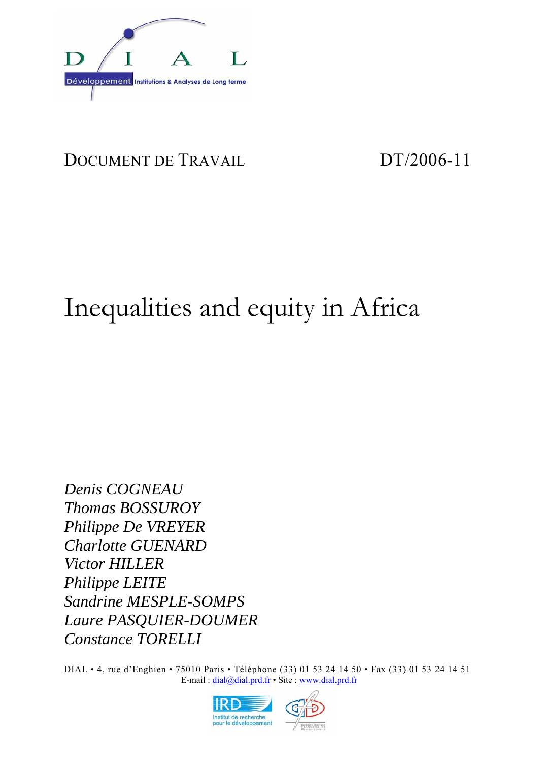

# DOCUMENT DE TRAVAIL DT/2006-11

# Inequalities and equity in Africa

*Denis COGNEAU Thomas BOSSUROY Philippe De VREYER Charlotte GUENARD Victor HILLER Philippe LEITE Sandrine MESPLE-SOMPS Laure PASQUIER-DOUMER Constance TORELLI* 

DIAL • 4, rue d'Enghien • 75010 Paris • Téléphone (33) 01 53 24 14 50 • Fax (33) 01 53 24 14 51 E-mail : dial@dial.prd.fr • Site : www.dial.prd.fr

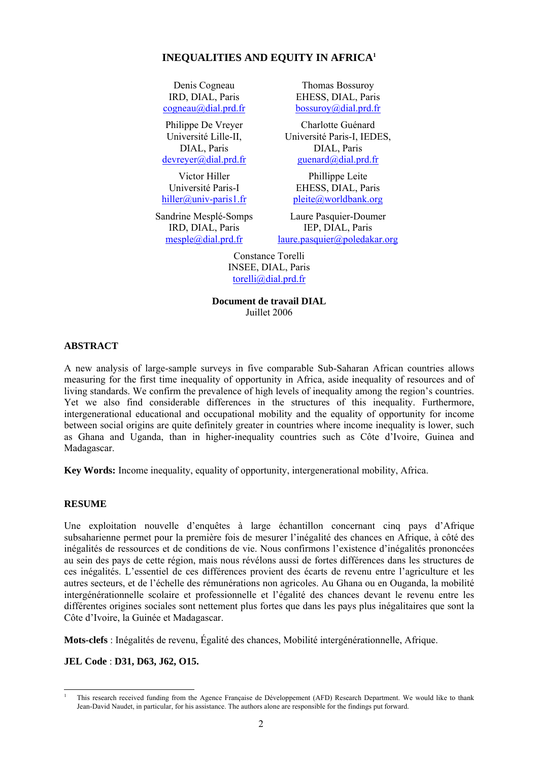#### **INEQUALITIES AND EQUITY IN AFRICA1**

Denis Cogneau IRD, DIAL, Paris cogneau@dial.prd.fr

Philippe De Vreyer Université Lille-II, DIAL, Paris devreyer@dial.prd.fr

Victor Hiller Université Paris-I hiller@univ-paris1.fr

Sandrine Mesplé-Somps IRD, DIAL, Paris mesple@dial.prd.fr

Thomas Bossuroy EHESS, DIAL, Paris bossuroy@dial.prd.fr

Charlotte Guénard Université Paris-I, IEDES, DIAL, Paris guenard@dial.prd.fr

Phillippe Leite EHESS, DIAL, Paris pleite@worldbank.org

Laure Pasquier-Doumer IEP, DIAL, Paris laure.pasquier@poledakar.org

Constance Torelli INSEE, DIAL, Paris torelli@dial.prd.fr

**Document de travail DIAL**  Juillet 2006

#### **ABSTRACT**

A new analysis of large-sample surveys in five comparable Sub-Saharan African countries allows measuring for the first time inequality of opportunity in Africa, aside inequality of resources and of living standards. We confirm the prevalence of high levels of inequality among the region's countries. Yet we also find considerable differences in the structures of this inequality. Furthermore, intergenerational educational and occupational mobility and the equality of opportunity for income between social origins are quite definitely greater in countries where income inequality is lower, such as Ghana and Uganda, than in higher-inequality countries such as Côte d'Ivoire, Guinea and Madagascar.

**Key Words:** Income inequality, equality of opportunity, intergenerational mobility, Africa.

#### **RESUME**

Une exploitation nouvelle d'enquêtes à large échantillon concernant cinq pays d'Afrique subsaharienne permet pour la première fois de mesurer l'inégalité des chances en Afrique, à côté des inégalités de ressources et de conditions de vie. Nous confirmons l'existence d'inégalités prononcées au sein des pays de cette région, mais nous révélons aussi de fortes différences dans les structures de ces inégalités. L'essentiel de ces différences provient des écarts de revenu entre l'agriculture et les autres secteurs, et de l'échelle des rémunérations non agricoles. Au Ghana ou en Ouganda, la mobilité intergénérationnelle scolaire et professionnelle et l'égalité des chances devant le revenu entre les différentes origines sociales sont nettement plus fortes que dans les pays plus inégalitaires que sont la Côte d'Ivoire, la Guinée et Madagascar.

**Mots-clefs** : Inégalités de revenu, Égalité des chances, Mobilité intergénérationnelle, Afrique.

**JEL Code** : **D31, D63, J62, O15.**

l 1 This research received funding from the Agence Française de Développement (AFD) Research Department. We would like to thank Jean-David Naudet, in particular, for his assistance. The authors alone are responsible for the findings put forward.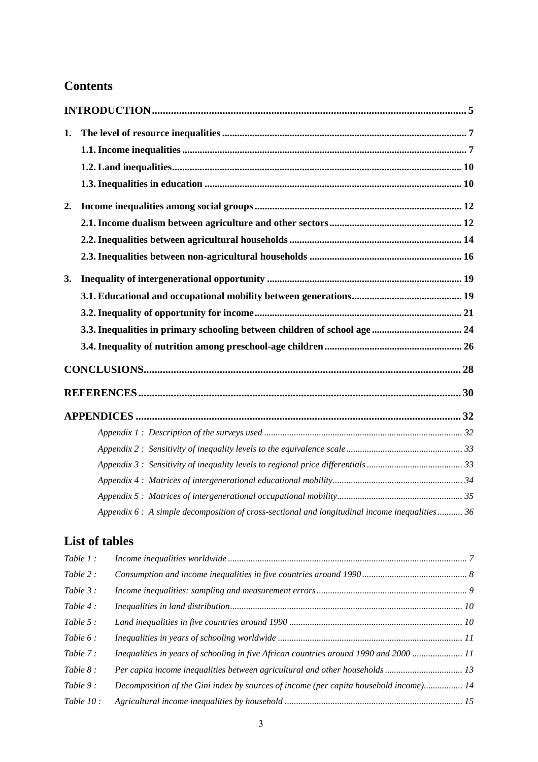## **Contents**

| 1. |                                                                                                |  |
|----|------------------------------------------------------------------------------------------------|--|
|    |                                                                                                |  |
|    |                                                                                                |  |
|    |                                                                                                |  |
| 2. |                                                                                                |  |
|    |                                                                                                |  |
|    |                                                                                                |  |
|    |                                                                                                |  |
| 3. |                                                                                                |  |
|    |                                                                                                |  |
|    |                                                                                                |  |
|    |                                                                                                |  |
|    |                                                                                                |  |
|    |                                                                                                |  |
|    |                                                                                                |  |
|    |                                                                                                |  |
|    |                                                                                                |  |
|    |                                                                                                |  |
|    |                                                                                                |  |
|    |                                                                                                |  |
|    |                                                                                                |  |
|    | Appendix 6 : A simple decomposition of cross-sectional and longitudinal income inequalities 36 |  |

## **List of tables**

| Table 1:     |                                                                                       |  |
|--------------|---------------------------------------------------------------------------------------|--|
| Table $2$ :  |                                                                                       |  |
| Table $3$ :  |                                                                                       |  |
| Table $4$ :  |                                                                                       |  |
| Table $5$ :  |                                                                                       |  |
| Table $6:$   |                                                                                       |  |
| Table $7$ :  | Inequalities in years of schooling in five African countries around 1990 and 2000  11 |  |
| Table $8:$   | Per capita income inequalities between agricultural and other households 13           |  |
| Table $9:$   | Decomposition of the Gini index by sources of income (per capita household income) 14 |  |
| Table $10$ : |                                                                                       |  |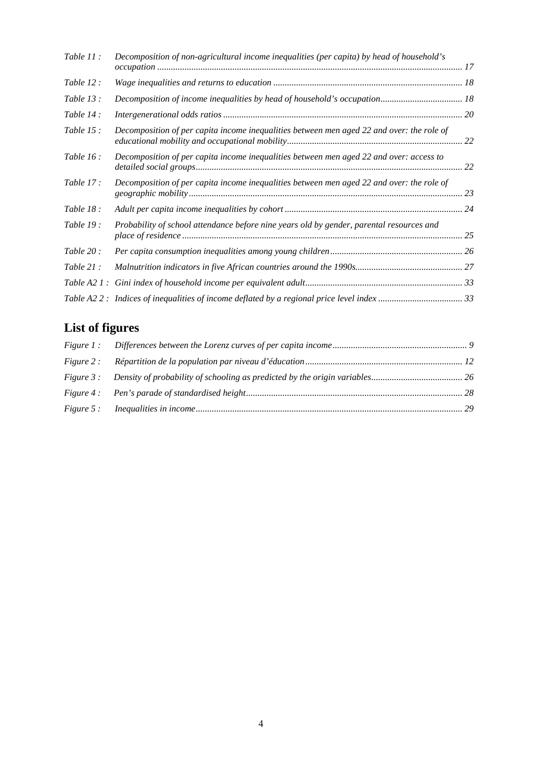| Table $11$ : | Decomposition of non-agricultural income inequalities (per capita) by head of household's |    |
|--------------|-------------------------------------------------------------------------------------------|----|
| Table 12:    |                                                                                           |    |
| Table $13$ : |                                                                                           |    |
| Table $14$ : |                                                                                           |    |
| Table $15$ : | Decomposition of per capita income inequalities between men aged 22 and over: the role of | 22 |
| Table $16$ : | Decomposition of per capita income inequalities between men aged 22 and over: access to   | 22 |
| Table $17$ : | Decomposition of per capita income inequalities between men aged 22 and over: the role of | 23 |
| Table 18:    |                                                                                           |    |
| Table $19:$  | Probability of school attendance before nine years old by gender, parental resources and  |    |
| Table $20$ : |                                                                                           |    |
| Table $21$ : |                                                                                           |    |
|              |                                                                                           |    |
|              | Table A2 2: Indices of inequalities of income deflated by a regional price level index 33 |    |

# **List of figures**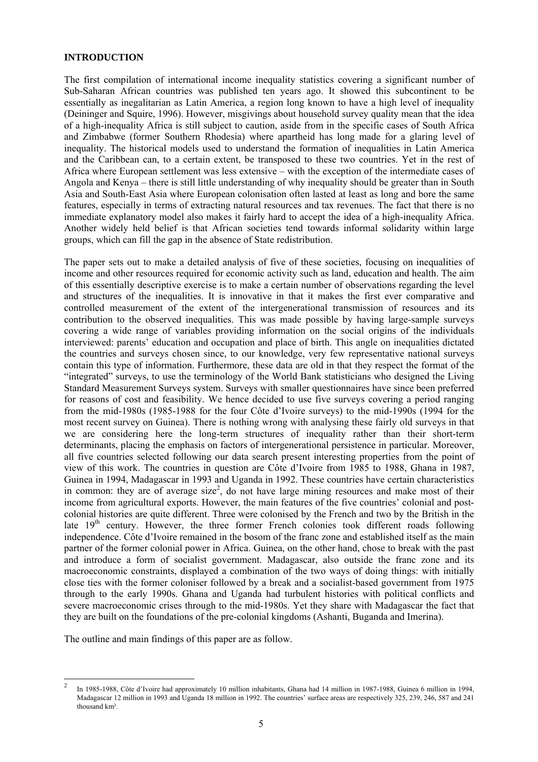#### **INTRODUCTION**

The first compilation of international income inequality statistics covering a significant number of Sub-Saharan African countries was published ten years ago. It showed this subcontinent to be essentially as inegalitarian as Latin America, a region long known to have a high level of inequality (Deininger and Squire, 1996). However, misgivings about household survey quality mean that the idea of a high-inequality Africa is still subject to caution, aside from in the specific cases of South Africa and Zimbabwe (former Southern Rhodesia) where apartheid has long made for a glaring level of inequality. The historical models used to understand the formation of inequalities in Latin America and the Caribbean can, to a certain extent, be transposed to these two countries. Yet in the rest of Africa where European settlement was less extensive – with the exception of the intermediate cases of Angola and Kenya – there is still little understanding of why inequality should be greater than in South Asia and South-East Asia where European colonisation often lasted at least as long and bore the same features, especially in terms of extracting natural resources and tax revenues. The fact that there is no immediate explanatory model also makes it fairly hard to accept the idea of a high-inequality Africa. Another widely held belief is that African societies tend towards informal solidarity within large groups, which can fill the gap in the absence of State redistribution.

The paper sets out to make a detailed analysis of five of these societies, focusing on inequalities of income and other resources required for economic activity such as land, education and health. The aim of this essentially descriptive exercise is to make a certain number of observations regarding the level and structures of the inequalities. It is innovative in that it makes the first ever comparative and controlled measurement of the extent of the intergenerational transmission of resources and its contribution to the observed inequalities. This was made possible by having large-sample surveys covering a wide range of variables providing information on the social origins of the individuals interviewed: parents' education and occupation and place of birth. This angle on inequalities dictated the countries and surveys chosen since, to our knowledge, very few representative national surveys contain this type of information. Furthermore, these data are old in that they respect the format of the "integrated" surveys, to use the terminology of the World Bank statisticians who designed the Living Standard Measurement Surveys system. Surveys with smaller questionnaires have since been preferred for reasons of cost and feasibility. We hence decided to use five surveys covering a period ranging from the mid-1980s (1985-1988 for the four Côte d'Ivoire surveys) to the mid-1990s (1994 for the most recent survey on Guinea). There is nothing wrong with analysing these fairly old surveys in that we are considering here the long-term structures of inequality rather than their short-term determinants, placing the emphasis on factors of intergenerational persistence in particular. Moreover, all five countries selected following our data search present interesting properties from the point of view of this work. The countries in question are Côte d'Ivoire from 1985 to 1988, Ghana in 1987, Guinea in 1994, Madagascar in 1993 and Uganda in 1992. These countries have certain characteristics in common: they are of average size<sup>2</sup>, do not have large mining resources and make most of their income from agricultural exports. However, the main features of the five countries' colonial and postcolonial histories are quite different. Three were colonised by the French and two by the British in the late 19<sup>th</sup> century. However, the three former French colonies took different roads following independence. Côte d'Ivoire remained in the bosom of the franc zone and established itself as the main partner of the former colonial power in Africa. Guinea, on the other hand, chose to break with the past and introduce a form of socialist government. Madagascar, also outside the franc zone and its macroeconomic constraints, displayed a combination of the two ways of doing things: with initially close ties with the former coloniser followed by a break and a socialist-based government from 1975 through to the early 1990s. Ghana and Uganda had turbulent histories with political conflicts and severe macroeconomic crises through to the mid-1980s. Yet they share with Madagascar the fact that they are built on the foundations of the pre-colonial kingdoms (Ashanti, Buganda and Imerina).

The outline and main findings of this paper are as follow.

l 2 In 1985-1988, Côte d'Ivoire had approximately 10 million inhabitants, Ghana had 14 million in 1987-1988, Guinea 6 million in 1994, Madagascar 12 million in 1993 and Uganda 18 million in 1992. The countries' surface areas are respectively 325, 239, 246, 587 and 241 thousand km².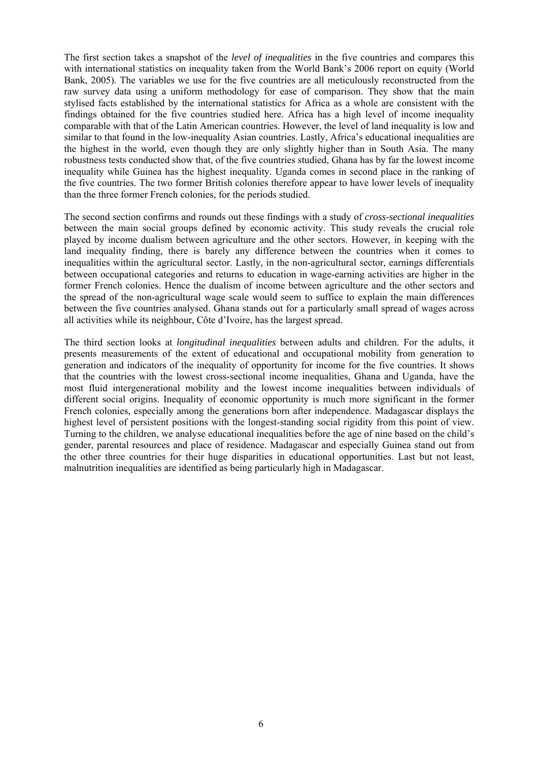The first section takes a snapshot of the *level of inequalities* in the five countries and compares this with international statistics on inequality taken from the World Bank's 2006 report on equity (World Bank, 2005). The variables we use for the five countries are all meticulously reconstructed from the raw survey data using a uniform methodology for ease of comparison. They show that the main stylised facts established by the international statistics for Africa as a whole are consistent with the findings obtained for the five countries studied here. Africa has a high level of income inequality comparable with that of the Latin American countries. However, the level of land inequality is low and similar to that found in the low-inequality Asian countries. Lastly, Africa's educational inequalities are the highest in the world, even though they are only slightly higher than in South Asia. The many robustness tests conducted show that, of the five countries studied, Ghana has by far the lowest income inequality while Guinea has the highest inequality. Uganda comes in second place in the ranking of the five countries. The two former British colonies therefore appear to have lower levels of inequality than the three former French colonies, for the periods studied.

The second section confirms and rounds out these findings with a study of *cross-sectional inequalities* between the main social groups defined by economic activity. This study reveals the crucial role played by income dualism between agriculture and the other sectors. However, in keeping with the land inequality finding, there is barely any difference between the countries when it comes to inequalities within the agricultural sector. Lastly, in the non-agricultural sector, earnings differentials between occupational categories and returns to education in wage-earning activities are higher in the former French colonies. Hence the dualism of income between agriculture and the other sectors and the spread of the non-agricultural wage scale would seem to suffice to explain the main differences between the five countries analysed. Ghana stands out for a particularly small spread of wages across all activities while its neighbour, Côte d'Ivoire, has the largest spread.

The third section looks at *longitudinal inequalities* between adults and children. For the adults, it presents measurements of the extent of educational and occupational mobility from generation to generation and indicators of the inequality of opportunity for income for the five countries. It shows that the countries with the lowest cross-sectional income inequalities, Ghana and Uganda, have the most fluid intergenerational mobility and the lowest income inequalities between individuals of different social origins. Inequality of economic opportunity is much more significant in the former French colonies, especially among the generations born after independence. Madagascar displays the highest level of persistent positions with the longest-standing social rigidity from this point of view. Turning to the children, we analyse educational inequalities before the age of nine based on the child's gender, parental resources and place of residence. Madagascar and especially Guinea stand out from the other three countries for their huge disparities in educational opportunities. Last but not least, malnutrition inequalities are identified as being particularly high in Madagascar.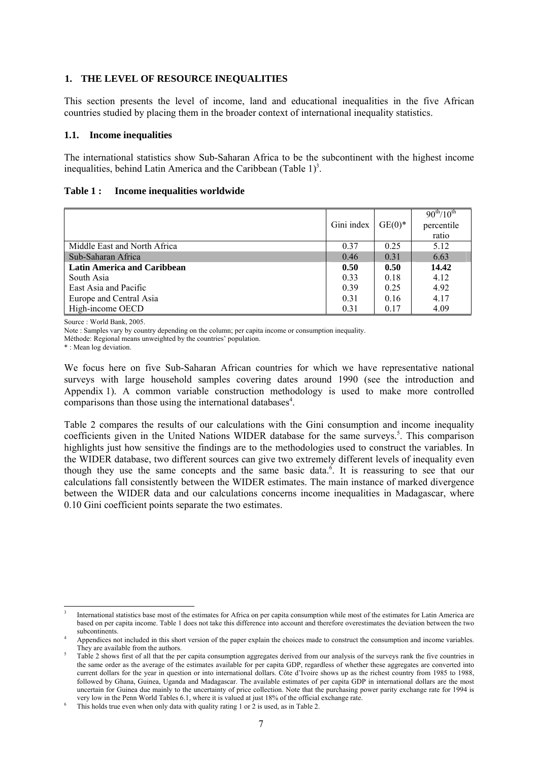#### **1. THE LEVEL OF RESOURCE INEQUALITIES**

This section presents the level of income, land and educational inequalities in the five African countries studied by placing them in the broader context of international inequality statistics.

#### **1.1. Income inequalities**

The international statistics show Sub-Saharan Africa to be the subcontinent with the highest income inequalities, behind Latin America and the Caribbean (Table  $1$ )<sup>3</sup>.

#### **Table 1 : Income inequalities worldwide**

|                                    | Gini index | $GE(0)$ * | $90^{th}/10^{th}$<br>percentile<br>ratio |
|------------------------------------|------------|-----------|------------------------------------------|
| Middle East and North Africa       | 0.37       | 0.25      | 5.12                                     |
| Sub-Saharan Africa                 | 0.46       | 0.31      | 6.63                                     |
| <b>Latin America and Caribbean</b> | 0.50       | 0.50      | 14.42                                    |
| South Asia                         | 0.33       | 0.18      | 4.12                                     |
| East Asia and Pacific              | 0.39       | 0.25      | 4.92                                     |
| Europe and Central Asia            | 0.31       | 0.16      | 4.17                                     |
| High-income OECD                   | 0.31       | 0.17      | 4.09                                     |

Source : World Bank, 2005.

Note : Samples vary by country depending on the column; per capita income or consumption inequality.

Méthode: Regional means unweighted by the countries' population.

\* : Mean log deviation.

 $\overline{a}$ 

We focus here on five Sub-Saharan African countries for which we have representative national surveys with large household samples covering dates around 1990 (see the introduction and Appendix 1). A common variable construction methodology is used to make more controlled comparisons than those using the international databases $4$ .

Table 2 compares the results of our calculations with the Gini consumption and income inequality coefficients given in the United Nations WIDER database for the same surveys.<sup>5</sup>. This comparison highlights just how sensitive the findings are to the methodologies used to construct the variables. In the WIDER database, two different sources can give two extremely different levels of inequality even though they use the same concepts and the same basic data.<sup>6</sup>. It is reassuring to see that our calculations fall consistently between the WIDER estimates. The main instance of marked divergence between the WIDER data and our calculations concerns income inequalities in Madagascar, where 0.10 Gini coefficient points separate the two estimates.

<sup>3</sup> International statistics base most of the estimates for Africa on per capita consumption while most of the estimates for Latin America are based on per capita income. Table 1 does not take this difference into account and therefore overestimates the deviation between the two subcontinents.

Appendices not included in this short version of the paper explain the choices made to construct the consumption and income variables. They are available from the authors.

Table 2 shows first of all that the per capita consumption aggregates derived from our analysis of the surveys rank the five countries in the same order as the average of the estimates available for per capita GDP, regardless of whether these aggregates are converted into current dollars for the year in question or into international dollars. Côte d'Ivoire shows up as the richest country from 1985 to 1988, followed by Ghana, Guinea, Uganda and Madagascar. The available estimates of per capita GDP in international dollars are the most uncertain for Guinea due mainly to the uncertainty of price collection. Note that the purchasing power parity exchange rate for 1994 is very low in the Penn World Tables 6.1, where it is valued at just 18% of the official exchange rate.

This holds true even when only data with quality rating 1 or 2 is used, as in Table 2.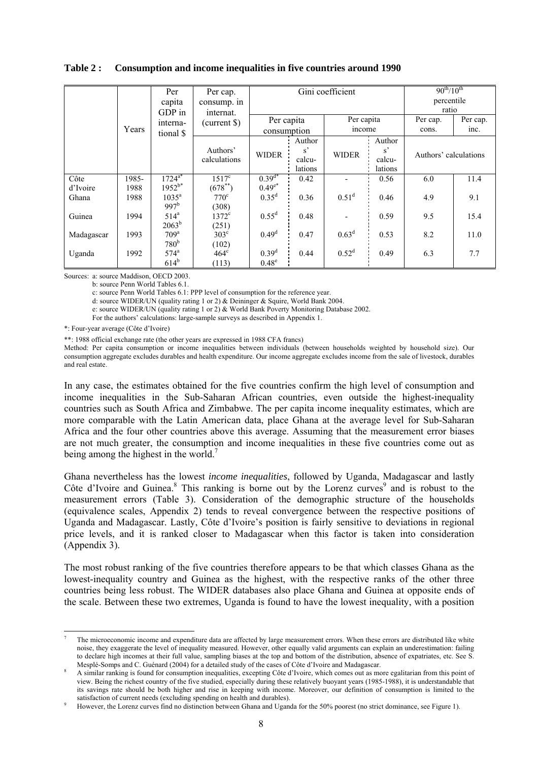#### **Table 2 : Consumption and income inequalities in five countries around 1990**

|            | Per<br>capita<br>GDP in<br>interna- |                    | Per cap.<br>consump. in<br>internat.<br>(current \$) | Per capita        |                                            | Gini coefficient<br>Per capita |                         | $90^{th}/10^{th}$<br>percentile<br>ratio<br>Per cap. | Per cap. |
|------------|-------------------------------------|--------------------|------------------------------------------------------|-------------------|--------------------------------------------|--------------------------------|-------------------------|------------------------------------------------------|----------|
|            | Years                               | tional \$          |                                                      | consumption       |                                            | income                         |                         | cons.                                                | inc.     |
|            |                                     |                    |                                                      |                   | Author                                     |                                | Author                  |                                                      |          |
|            |                                     |                    | Authors'<br>calculations                             | <b>WIDER</b>      | $\mathrm{s}^{\prime}$<br>calcu-<br>lations | <b>WIDER</b>                   | s'<br>calcu-<br>lations | Authors' calculations                                |          |
| Côte       | 1985-                               | $1724^{a*}$        | $1517^{\circ}$                                       | $0.39^{d*}$       | 0.42                                       |                                | 0.56                    | 6.0                                                  | 11.4     |
| d'Ivoire   | 1988                                | $1952^{b*}$        | $(678^{**})$                                         | $0.49^{e*}$       |                                            |                                |                         |                                                      |          |
| Ghana      | 1988                                | $1035^{\rm a}$     | $770^{\circ}$                                        | $0.35^{d}$        | 0.36                                       | $0.51^d$                       | 0.46                    | 4.9                                                  | 9.1      |
|            |                                     | 997 <sup>b</sup>   | (308)                                                |                   |                                            |                                |                         |                                                      |          |
| Guinea     | 1994                                | $514^a$            | $1372^{\circ}$                                       | $0.55^{\rm d}$    | 0.48                                       |                                | 0.59                    | 9.5                                                  | 15.4     |
|            |                                     | $2063^b$           | (251)                                                |                   |                                            |                                |                         |                                                      |          |
| Madagascar | 1993                                | 709 <sup>a</sup>   | $303^{\circ}$                                        | $0.49^d$          | 0.47                                       | $0.63^d$                       | 0.53                    | 8.2                                                  | 11.0     |
|            |                                     | 780 <sup>b</sup>   | (102)                                                |                   |                                            |                                |                         |                                                      |          |
| Uganda     | 1992                                | $574$ <sup>a</sup> | $464^{\circ}$                                        | $0.39^{d}$        | 0.44                                       | $0.52^d$                       | 0.49                    | 6.3                                                  | 7.7      |
|            |                                     | $614^b$            | (113)                                                | $0.48^\mathrm{e}$ |                                            |                                |                         |                                                      |          |

Sources: a: source Maddison, OECD 2003.

b: source Penn World Tables 6.1.

c: source Penn World Tables 6.1: PPP level of consumption for the reference year.

d: source WIDER/UN (quality rating 1 or 2) & Deininger & Squire, World Bank 2004.

e: source WIDER/UN (quality rating 1 or 2) & World Bank Poverty Monitoring Database 2002.

For the authors' calculations: large-sample surveys as described in Appendix 1.

\*: Four-year average (Côte d'Ivoire)

l

\*\*: 1988 official exchange rate (the other years are expressed in 1988 CFA francs)

Method: Per capita consumption or income inequalities between individuals (between households weighted by household size). Our consumption aggregate excludes durables and health expenditure. Our income aggregate excludes income from the sale of livestock, durables and real estate.

In any case, the estimates obtained for the five countries confirm the high level of consumption and income inequalities in the Sub-Saharan African countries, even outside the highest-inequality countries such as South Africa and Zimbabwe. The per capita income inequality estimates, which are more comparable with the Latin American data, place Ghana at the average level for Sub-Saharan Africa and the four other countries above this average. Assuming that the measurement error biases are not much greater, the consumption and income inequalities in these five countries come out as being among the highest in the world.<sup>7</sup>

Ghana nevertheless has the lowest *income inequalities*, followed by Uganda, Madagascar and lastly Côte d'Ivoire and Guinea.<sup>8</sup> This ranking is borne out by the Lorenz curves<sup>9</sup> and is robust to the measurement errors (Table 3). Consideration of the demographic structure of the households (equivalence scales, Appendix 2) tends to reveal convergence between the respective positions of Uganda and Madagascar. Lastly, Côte d'Ivoire's position is fairly sensitive to deviations in regional price levels, and it is ranked closer to Madagascar when this factor is taken into consideration (Appendix 3).

The most robust ranking of the five countries therefore appears to be that which classes Ghana as the lowest-inequality country and Guinea as the highest, with the respective ranks of the other three countries being less robust. The WIDER databases also place Ghana and Guinea at opposite ends of the scale. Between these two extremes, Uganda is found to have the lowest inequality, with a position

<sup>7</sup> The microeconomic income and expenditure data are affected by large measurement errors. When these errors are distributed like white noise, they exaggerate the level of inequality measured. However, other equally valid arguments can explain an underestimation: failing to declare high incomes at their full value, sampling biases at the top and bottom of the distribution, absence of expatriates, etc. See S. Mesplé-Somps and C. Guénard (2004) for a detailed study of the cases of Côte d'Ivoire and Madagascar. 8

A similar ranking is found for consumption inequalities, excepting Côte d'Ivoire, which comes out as more egalitarian from this point of view. Being the richest country of the five studied, especially during these relatively buoyant years (1985-1988), it is understandable that its savings rate should be both higher and rise in keeping with income. Moreover, our definition of consumption is limited to the satisfaction of current needs (excluding spending on health and durables).

However, the Lorenz curves find no distinction between Ghana and Uganda for the 50% poorest (no strict dominance, see Figure 1).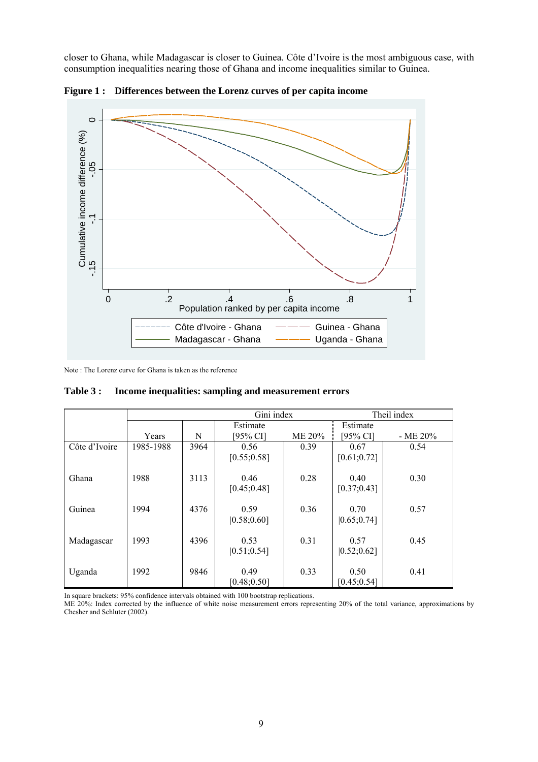closer to Ghana, while Madagascar is closer to Guinea. Côte d'Ivoire is the most ambiguous case, with consumption inequalities nearing those of Ghana and income inequalities similar to Guinea.



**Figure 1 : Differences between the Lorenz curves of per capita income** 

Note : The Lorenz curve for Ghana is taken as the reference

|               |           |      | Gini index   |        | Theil index  |            |  |
|---------------|-----------|------|--------------|--------|--------------|------------|--|
|               |           |      | Estimate     |        | Estimate     |            |  |
|               | Years     | N    | [95% CI]     | ME 20% | [95% CI]     | $-$ ME 20% |  |
| Côte d'Ivoire | 1985-1988 | 3964 | 0.56         | 0.39   | 0.67         | 0.54       |  |
|               |           |      | [0.55; 0.58] |        | [0.61; 0.72] |            |  |
|               |           |      |              |        |              |            |  |
| Ghana         | 1988      | 3113 | 0.46         | 0.28   | 0.40         | 0.30       |  |
|               |           |      | [0.45; 0.48] |        | [0.37; 0.43] |            |  |
|               |           |      |              |        |              |            |  |
| Guinea        | 1994      | 4376 | 0.59         | 0.36   | 0.70         | 0.57       |  |
|               |           |      | [0.58; 0.60] |        | [0.65; 0.74] |            |  |
|               |           |      |              |        |              |            |  |
| Madagascar    | 1993      | 4396 | 0.53         | 0.31   | 0.57         | 0.45       |  |
|               |           |      | [0.51; 0.54] |        | [0.52; 0.62] |            |  |
|               |           |      |              |        |              |            |  |
| Uganda        | 1992      | 9846 | 0.49         | 0.33   | 0.50         | 0.41       |  |
|               |           |      | [0.48; 0.50] |        | [0.45; 0.54] |            |  |

**Table 3 : Income inequalities: sampling and measurement errors** 

In square brackets: 95% confidence intervals obtained with 100 bootstrap replications.

ME 20%: Index corrected by the influence of white noise measurement errors representing 20% of the total variance, approximations by Chesher and Schluter (2002).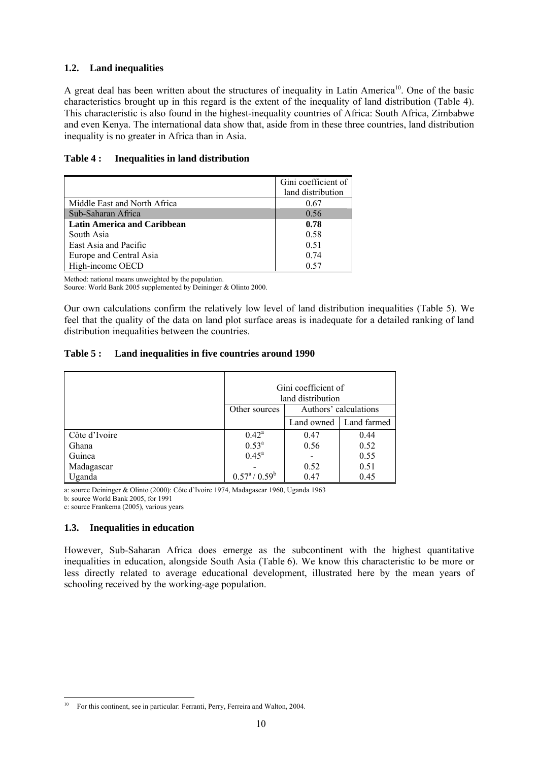#### **1.2. Land inequalities**

A great deal has been written about the structures of inequality in Latin America<sup>10</sup>. One of the basic characteristics brought up in this regard is the extent of the inequality of land distribution (Table 4). This characteristic is also found in the highest-inequality countries of Africa: South Africa, Zimbabwe and even Kenya. The international data show that, aside from in these three countries, land distribution inequality is no greater in Africa than in Asia.

#### **Table 4 : Inequalities in land distribution**

|                                    | Gini coefficient of |
|------------------------------------|---------------------|
|                                    | land distribution   |
| Middle East and North Africa       | 0.67                |
| Sub-Saharan Africa                 | 0.56                |
| <b>Latin America and Caribbean</b> | 0.78                |
| South Asia                         | 0.58                |
| East Asia and Pacific              | 0.51                |
| Europe and Central Asia            | 0.74                |
| High-income OECD                   | 0.57                |

Method: national means unweighted by the population.

Source: World Bank 2005 supplemented by Deininger & Olinto 2000.

Our own calculations confirm the relatively low level of land distribution inequalities (Table 5). We feel that the quality of the data on land plot surface areas is inadequate for a detailed ranking of land distribution inequalities between the countries.

#### **Table 5 : Land inequalities in five countries around 1990**

|               | Gini coefficient of<br>land distribution |                           |      |  |  |
|---------------|------------------------------------------|---------------------------|------|--|--|
|               | Authors' calculations<br>Other sources   |                           |      |  |  |
|               |                                          | Land farmed<br>Land owned |      |  |  |
| Côte d'Ivoire | $0.42^{\rm a}$                           | 0.47                      | 0.44 |  |  |
| Ghana         | $0.53^{\rm a}$                           | 0.56                      | 0.52 |  |  |
| Guinea        | $0.45^{\rm a}$                           |                           | 0.55 |  |  |
| Madagascar    |                                          | 0.51<br>0.52              |      |  |  |
| Uganda        | $0.57^{\rm a}/0.59^{\rm b}$              | 0.45<br>0.47              |      |  |  |

a: source Deininger & Olinto (2000): Côte d'Ivoire 1974, Madagascar 1960, Uganda 1963

b: source World Bank 2005, for 1991

 $\overline{a}$ 

c: source Frankema (2005), various years

#### **1.3. Inequalities in education**

However, Sub-Saharan Africa does emerge as the subcontinent with the highest quantitative inequalities in education, alongside South Asia (Table 6). We know this characteristic to be more or less directly related to average educational development, illustrated here by the mean years of schooling received by the working-age population.

<sup>10</sup> For this continent, see in particular: Ferranti, Perry, Ferreira and Walton, 2004.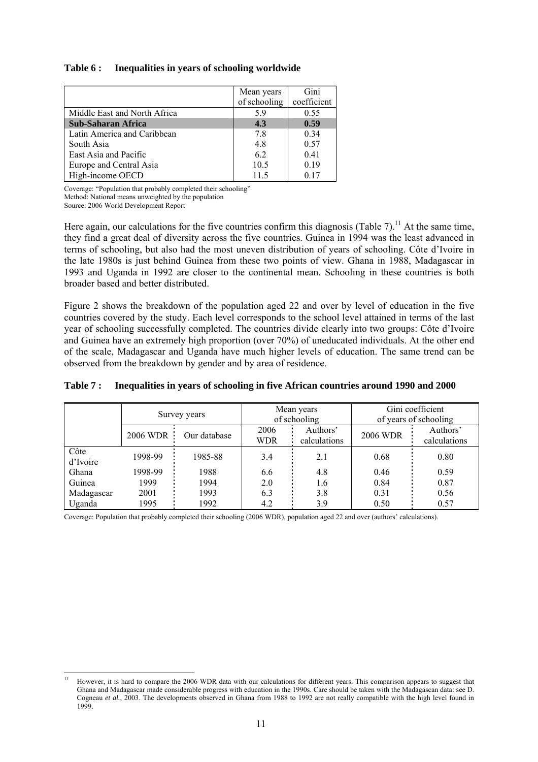#### **Table 6 : Inequalities in years of schooling worldwide**

|                              | Mean years   | Gini        |
|------------------------------|--------------|-------------|
|                              | of schooling | coefficient |
| Middle East and North Africa | 5.9          | 0.55        |
| <b>Sub-Saharan Africa</b>    | 4.3          | 0.59        |
| Latin America and Caribbean  | 7.8          | 0.34        |
| South Asia                   | 4.8          | 0.57        |
| East Asia and Pacific        | 6.2          | 0.41        |
| Europe and Central Asia      | 10.5         | 0.19        |
| High-income OECD             | 11.5         | 017         |

Coverage: "Population that probably completed their schooling"

Method: National means unweighted by the population

Source: 2006 World Development Report

Here again, our calculations for the five countries confirm this diagnosis (Table 7).<sup>11</sup> At the same time, they find a great deal of diversity across the five countries. Guinea in 1994 was the least advanced in terms of schooling, but also had the most uneven distribution of years of schooling. Côte d'Ivoire in the late 1980s is just behind Guinea from these two points of view. Ghana in 1988, Madagascar in 1993 and Uganda in 1992 are closer to the continental mean. Schooling in these countries is both broader based and better distributed.

Figure 2 shows the breakdown of the population aged 22 and over by level of education in the five countries covered by the study. Each level corresponds to the school level attained in terms of the last year of schooling successfully completed. The countries divide clearly into two groups: Côte d'Ivoire and Guinea have an extremely high proportion (over 70%) of uneducated individuals. At the other end of the scale, Madagascar and Uganda have much higher levels of education. The same trend can be observed from the breakdown by gender and by area of residence.

|                  | Survey years |              |                    | Mean years<br>of schooling |                 | Gini coefficient<br>of years of schooling |  |
|------------------|--------------|--------------|--------------------|----------------------------|-----------------|-------------------------------------------|--|
|                  | 2006 WDR :   | Our database | 2006<br><b>WDR</b> | Authors'<br>calculations   | <b>2006 WDR</b> | Authors'<br>calculations                  |  |
| Côte<br>d'Ivoire | 1998-99      | 1985-88      | 3.4                | 2.1                        | 0.68            | 0.80                                      |  |
| Ghana            | 1998-99      | 1988         | 6.6                | 4.8                        | 0.46            | 0.59                                      |  |
| Guinea           | 1999         | 1994         | 2.0                | 1.6                        | 0.84            | 0.87                                      |  |
| Madagascar       | 2001         | 1993         | 6.3                | 3.8                        | 0.31            | 0.56                                      |  |
| Uganda           | 1995         | 1992         | 4.2                | 3.9                        | 0.50            | 0.57                                      |  |

#### **Table 7 : Inequalities in years of schooling in five African countries around 1990 and 2000**

Coverage: Population that probably completed their schooling (2006 WDR), population aged 22 and over (authors' calculations).

l 11 However, it is hard to compare the 2006 WDR data with our calculations for different years. This comparison appears to suggest that Ghana and Madagascar made considerable progress with education in the 1990s. Care should be taken with the Madagascan data: see D. Cogneau *et al.*, 2003. The developments observed in Ghana from 1988 to 1992 are not really compatible with the high level found in 1999.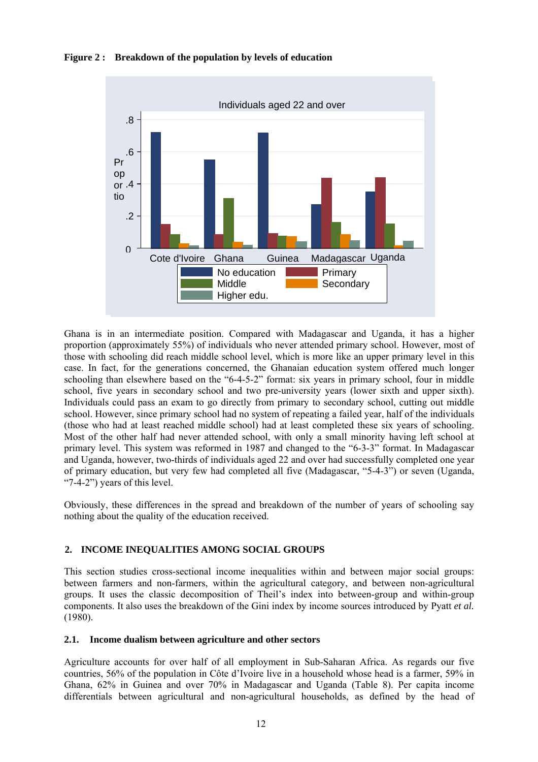#### **Figure 2 : Breakdown of the population by levels of education**



Ghana is in an intermediate position. Compared with Madagascar and Uganda, it has a higher proportion (approximately 55%) of individuals who never attended primary school. However, most of those with schooling did reach middle school level, which is more like an upper primary level in this case. In fact, for the generations concerned, the Ghanaian education system offered much longer schooling than elsewhere based on the "6-4-5-2" format: six years in primary school, four in middle school, five years in secondary school and two pre-university years (lower sixth and upper sixth). Individuals could pass an exam to go directly from primary to secondary school, cutting out middle school. However, since primary school had no system of repeating a failed year, half of the individuals (those who had at least reached middle school) had at least completed these six years of schooling. Most of the other half had never attended school, with only a small minority having left school at primary level. This system was reformed in 1987 and changed to the "6-3-3" format. In Madagascar and Uganda, however, two-thirds of individuals aged 22 and over had successfully completed one year of primary education, but very few had completed all five (Madagascar, "5-4-3") or seven (Uganda, "7-4-2") years of this level.

Obviously, these differences in the spread and breakdown of the number of years of schooling say nothing about the quality of the education received.

#### **2. INCOME INEQUALITIES AMONG SOCIAL GROUPS**

This section studies cross-sectional income inequalities within and between major social groups: between farmers and non-farmers, within the agricultural category, and between non-agricultural groups. It uses the classic decomposition of Theil's index into between-group and within-group components. It also uses the breakdown of the Gini index by income sources introduced by Pyatt *et al.* (1980).

#### **2.1. Income dualism between agriculture and other sectors**

Agriculture accounts for over half of all employment in Sub-Saharan Africa. As regards our five countries, 56% of the population in Côte d'Ivoire live in a household whose head is a farmer, 59% in Ghana, 62% in Guinea and over 70% in Madagascar and Uganda (Table 8). Per capita income differentials between agricultural and non-agricultural households, as defined by the head of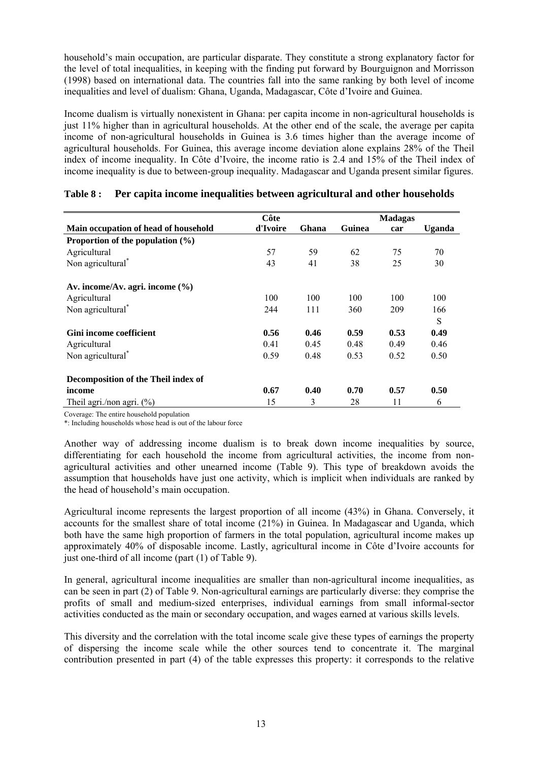household's main occupation, are particular disparate. They constitute a strong explanatory factor for the level of total inequalities, in keeping with the finding put forward by Bourguignon and Morrisson (1998) based on international data. The countries fall into the same ranking by both level of income inequalities and level of dualism: Ghana, Uganda, Madagascar, Côte d'Ivoire and Guinea.

Income dualism is virtually nonexistent in Ghana: per capita income in non-agricultural households is just 11% higher than in agricultural households. At the other end of the scale, the average per capita income of non-agricultural households in Guinea is 3.6 times higher than the average income of agricultural households. For Guinea, this average income deviation alone explains 28% of the Theil index of income inequality. In Côte d'Ivoire, the income ratio is 2.4 and 15% of the Theil index of income inequality is due to between-group inequality. Madagascar and Uganda present similar figures.

|                                      | Côte     |       |        | <b>Madagas</b> |        |
|--------------------------------------|----------|-------|--------|----------------|--------|
| Main occupation of head of household | d'Ivoire | Ghana | Guinea | car            | Uganda |
| Proportion of the population $(\% )$ |          |       |        |                |        |
| Agricultural                         | 57       | 59    | 62     | 75             | 70     |
| Non agricultural <sup>*</sup>        | 43       | 41    | 38     | 25             | 30     |
| Av. income/Av. agri. income $(\% )$  |          |       |        |                |        |
| Agricultural                         | 100      | 100   | 100    | 100            | 100    |
| Non agricultural <sup>*</sup>        | 244      | 111   | 360    | 209            | 166    |
|                                      |          |       |        |                | S      |
| <b>Gini income coefficient</b>       | 0.56     | 0.46  | 0.59   | 0.53           | 0.49   |
| Agricultural                         | 0.41     | 0.45  | 0.48   | 0.49           | 0.46   |
| Non agricultural <sup>*</sup>        | 0.59     | 0.48  | 0.53   | 0.52           | 0.50   |
| Decomposition of the Theil index of  |          |       |        |                |        |
| income                               | 0.67     | 0.40  | 0.70   | 0.57           | 0.50   |
| Theil agri./non agri. $(%)$          | 15       | 3     | 28     | 11             | 6      |

#### **Table 8 : Per capita income inequalities between agricultural and other households**

Coverage: The entire household population

\*: Including households whose head is out of the labour force

Another way of addressing income dualism is to break down income inequalities by source, differentiating for each household the income from agricultural activities, the income from nonagricultural activities and other unearned income (Table 9). This type of breakdown avoids the assumption that households have just one activity, which is implicit when individuals are ranked by the head of household's main occupation.

Agricultural income represents the largest proportion of all income (43%) in Ghana. Conversely, it accounts for the smallest share of total income (21%) in Guinea. In Madagascar and Uganda, which both have the same high proportion of farmers in the total population, agricultural income makes up approximately 40% of disposable income. Lastly, agricultural income in Côte d'Ivoire accounts for just one-third of all income (part (1) of Table 9).

In general, agricultural income inequalities are smaller than non-agricultural income inequalities, as can be seen in part (2) of Table 9. Non-agricultural earnings are particularly diverse: they comprise the profits of small and medium-sized enterprises, individual earnings from small informal-sector activities conducted as the main or secondary occupation, and wages earned at various skills levels.

This diversity and the correlation with the total income scale give these types of earnings the property of dispersing the income scale while the other sources tend to concentrate it. The marginal contribution presented in part (4) of the table expresses this property: it corresponds to the relative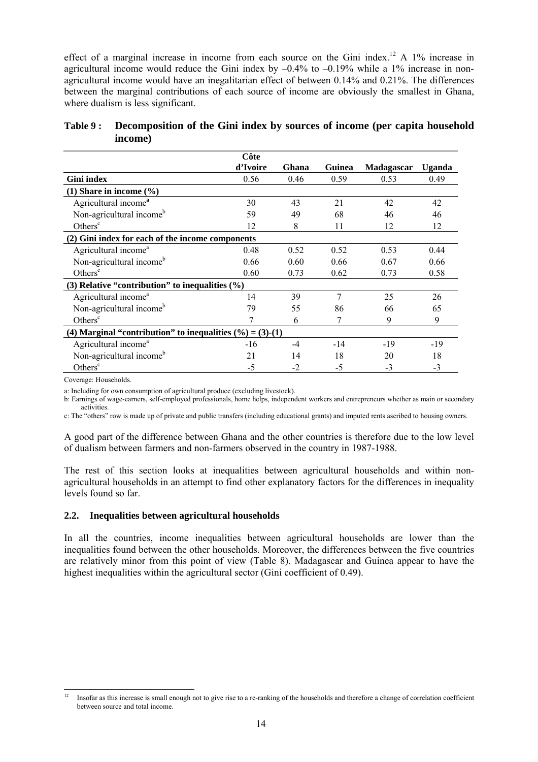effect of a marginal increase in income from each source on the Gini index.<sup>12</sup> A 1% increase in agricultural income would reduce the Gini index by  $-0.4\%$  to  $-0.19\%$  while a 1% increase in nonagricultural income would have an inegalitarian effect of between 0.14% and 0.21%. The differences between the marginal contributions of each source of income are obviously the smallest in Ghana, where dualism is less significant.

| Table 9: Decomposition of the Gini index by sources of income (per capita household |
|-------------------------------------------------------------------------------------|
| income)                                                                             |

|                                                               | Côte     |       |        |                   |               |
|---------------------------------------------------------------|----------|-------|--------|-------------------|---------------|
|                                                               | d'Ivoire | Ghana | Guinea | <b>Madagascar</b> | <b>Uganda</b> |
| <b>Gini</b> index                                             | 0.56     | 0.46  | 0.59   | 0.53              | 0.49          |
| $(1)$ Share in income $(\% )$                                 |          |       |        |                   |               |
| Agricultural income <sup>a</sup>                              | 30       | 43    | 21     | 42                | 42            |
| Non-agricultural income <sup>b</sup>                          | 59       | 49    | 68     | 46                | 46            |
| Others <sup>c</sup>                                           | 12       | 8     | 11     | 12                | 12            |
| (2) Gini index for each of the income components              |          |       |        |                   |               |
| Agricultural income <sup>a</sup>                              | 0.48     | 0.52  | 0.52   | 0.53              | 0.44          |
| Non-agricultural income <sup>b</sup>                          | 0.66     | 0.60  | 0.66   | 0.67              | 0.66          |
| Others <sup>c</sup>                                           | 0.60     | 0.73  | 0.62   | 0.73              | 0.58          |
| (3) Relative "contribution" to inequalities $(\% )$           |          |       |        |                   |               |
| Agricultural income <sup>a</sup>                              | 14       | 39    | 7      | 25                | 26            |
| Non-agricultural income <sup>b</sup>                          | 79       | 55    | 86     | 66                | 65            |
| Others <sup>c</sup>                                           | 7        | 6     | 7      | 9                 | 9             |
| (4) Marginal "contribution" to inequalities $(\% ) = (3)-(1)$ |          |       |        |                   |               |
| Agricultural income <sup>a</sup>                              | $-16$    | $-4$  | $-14$  | $-19$             | $-19$         |
| Non-agricultural income <sup>b</sup>                          | 21       | 14    | 18     | 20                | 18            |
| Others <sup>c</sup>                                           | -5       | $-2$  | -5     | $-3$              | $-3$          |

Coverage: Households.

a: Including for own consumption of agricultural produce (excluding livestock).

b: Earnings of wage-earners, self-employed professionals, home helps, independent workers and entrepreneurs whether as main or secondary activities.

c: The "others" row is made up of private and public transfers (including educational grants) and imputed rents ascribed to housing owners.

A good part of the difference between Ghana and the other countries is therefore due to the low level of dualism between farmers and non-farmers observed in the country in 1987-1988.

The rest of this section looks at inequalities between agricultural households and within nonagricultural households in an attempt to find other explanatory factors for the differences in inequality levels found so far.

#### **2.2. Inequalities between agricultural households**

In all the countries, income inequalities between agricultural households are lower than the inequalities found between the other households. Moreover, the differences between the five countries are relatively minor from this point of view (Table 8). Madagascar and Guinea appear to have the highest inequalities within the agricultural sector (Gini coefficient of 0.49).

 $12$ 12 Insofar as this increase is small enough not to give rise to a re-ranking of the households and therefore a change of correlation coefficient between source and total income.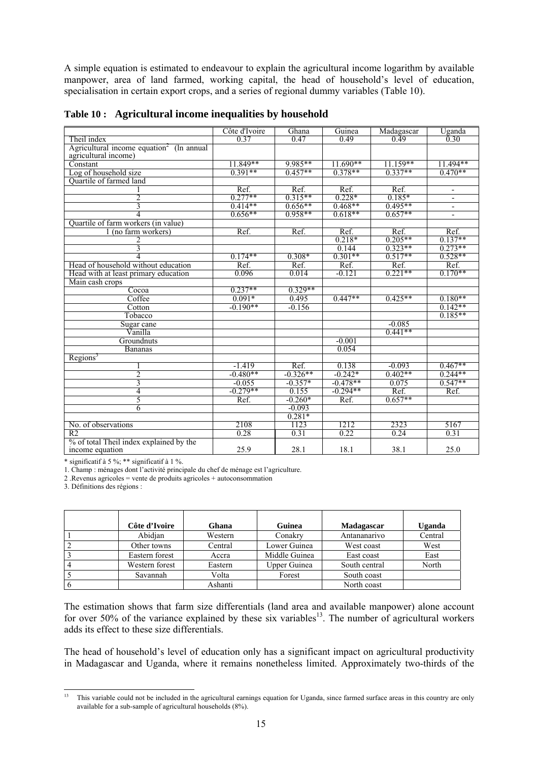A simple equation is estimated to endeavour to explain the agricultural income logarithm by available manpower, area of land farmed, working capital, the head of household's level of education, specialisation in certain export crops, and a series of regional dummy variables (Table 10).

|                                                | Côte d'Ivoire | Ghana      | Guinea     | Madagascar | Uganda                   |
|------------------------------------------------|---------------|------------|------------|------------|--------------------------|
| Theil index                                    | 0.37          | 0.47       | 0.49       | 0.49       | 0.30                     |
| Agricultural income equation $\ell$ (ln annual |               |            |            |            |                          |
| agricultural income)                           |               |            |            |            |                          |
| Constant                                       | 11.849**      | 9.985**    | $11.690**$ | $11.159**$ | 11.494**                 |
| Log of household size                          | $0.391**$     | $0.457**$  | $0.378**$  | $0.337**$  | $0.470**$                |
| Quartile of farmed land                        |               |            |            |            |                          |
|                                                | Ref.          | Ref.       | Ref.       | Ref.       | $\overline{\phantom{a}}$ |
| 2                                              | $0.277**$     | $0.315**$  | $0.228*$   | $0.185*$   |                          |
| 3                                              | $0.414**$     | $0.656**$  | $0.468**$  | $0.495**$  | $\overline{a}$           |
| 4                                              | $0.656**$     | $0.958**$  | $0.618**$  | $0.657**$  | $\blacksquare$           |
| Quartile of farm workers (in value)            |               |            |            |            |                          |
| 1 (no farm workers)                            | Ref.          | Ref.       | Ref.       | Ref.       | Ref.                     |
| 2                                              |               |            | $0.218*$   | $0.205**$  | $0.137**$                |
| 3                                              |               |            | 0.144      | $0.323**$  | $0.273**$                |
| 4                                              | $0.174**$     | $0.308*$   | $0.301**$  | $0.517**$  | $0.528**$                |
| Head of household without education            | Ref.          | Ref.       | Ref.       | Ref.       | Ref.                     |
| Head with at least primary education           | 0.096         | 0.014      | $-0.121$   | $0.221**$  | $0.170**$                |
| Main cash crops                                |               |            |            |            |                          |
| Cocoa                                          | $0.237**$     | $0.329**$  |            |            |                          |
| Coffee                                         | $0.091*$      | 0.495      | $0.447**$  | $0.425**$  | $0.180**$                |
| Cotton                                         | $-0.190**$    | $-0.156$   |            |            | $0.142**$                |
| Tobacco                                        |               |            |            |            | $0.185**$                |
| Sugar cane                                     |               |            |            | $-0.085$   |                          |
| Vanilla                                        |               |            |            | $0.441**$  |                          |
| Groundnuts                                     |               |            | $-0.001$   |            |                          |
| <b>Bananas</b>                                 |               |            | 0.054      |            |                          |
| Regions <sup>3</sup>                           |               |            |            |            |                          |
|                                                | $-1.419$      | Ref.       | 0.138      | $-0.093$   | $0.467**$                |
| 2                                              | $-0.480**$    | $-0.326**$ | $-0.242*$  | $0.402**$  | $0.244**$                |
| 3                                              | $-0.055$      | $-0.357*$  | $-0.478**$ | 0.075      | $0.547**$                |
| 4                                              | $-0.279**$    | 0.155      | $-0.294**$ | Ref.       | Ref.                     |
| 5                                              | Ref.          | $-0.260*$  | Ref.       | $0.657**$  |                          |
| 6                                              |               | $-0.093$   |            |            |                          |
|                                                |               | $0.281*$   |            |            |                          |
| No. of observations                            | 2108          | 1123       | 1212       | 2323       | 5167                     |
| R <sub>2</sub>                                 | 0.28          | 0.31       | 0.22       | 0.24       | 0.31                     |
| % of total Theil index explained by the        |               |            |            |            |                          |
| income equation                                | 25.9          | 28.1       | 18.1       | 38.1       | 25.0                     |

**Table 10 : Agricultural income inequalities by household** 

\* significatif à 5 %; \*\* significatif à 1 %.

1. Champ : ménages dont l'activité principale du chef de ménage est l'agriculture.

2 .Revenus agricoles = vente de produits agricoles + autoconsommation

3. Définitions des régions :

| Côte d'Ivoire  | Ghana   | Guinea              | Madagascar    | <b>Uganda</b> |
|----------------|---------|---------------------|---------------|---------------|
| Abidian        | Western | Conakry             | Antananarivo  | Central       |
| Other towns    | Central | Lower Guinea        | West coast    | West          |
| Eastern forest | Accra   | Middle Guinea       | East coast    | East          |
| Western forest | Eastern | <b>Upper Guinea</b> | South central | North         |
| Savannah       | Volta   | Forest              | South coast   |               |
|                | Ashanti |                     | North coast   |               |

The estimation shows that farm size differentials (land area and available manpower) alone account for over 50% of the variance explained by these six variables<sup>13</sup>. The number of agricultural workers adds its effect to these size differentials.

The head of household's level of education only has a significant impact on agricultural productivity in Madagascar and Uganda, where it remains nonetheless limited. Approximately two-thirds of the

 $13\,$ 13 This variable could not be included in the agricultural earnings equation for Uganda, since farmed surface areas in this country are only available for a sub-sample of agricultural households (8%).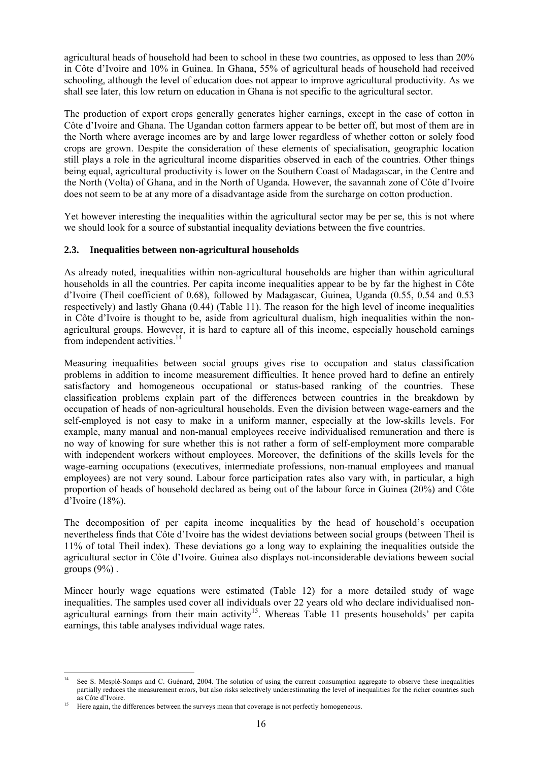agricultural heads of household had been to school in these two countries, as opposed to less than 20% in Côte d'Ivoire and 10% in Guinea. In Ghana, 55% of agricultural heads of household had received schooling, although the level of education does not appear to improve agricultural productivity. As we shall see later, this low return on education in Ghana is not specific to the agricultural sector.

The production of export crops generally generates higher earnings, except in the case of cotton in Côte d'Ivoire and Ghana. The Ugandan cotton farmers appear to be better off, but most of them are in the North where average incomes are by and large lower regardless of whether cotton or solely food crops are grown. Despite the consideration of these elements of specialisation, geographic location still plays a role in the agricultural income disparities observed in each of the countries. Other things being equal, agricultural productivity is lower on the Southern Coast of Madagascar, in the Centre and the North (Volta) of Ghana, and in the North of Uganda. However, the savannah zone of Côte d'Ivoire does not seem to be at any more of a disadvantage aside from the surcharge on cotton production.

Yet however interesting the inequalities within the agricultural sector may be per se, this is not where we should look for a source of substantial inequality deviations between the five countries.

#### **2.3. Inequalities between non-agricultural households**

As already noted, inequalities within non-agricultural households are higher than within agricultural households in all the countries. Per capita income inequalities appear to be by far the highest in Côte d'Ivoire (Theil coefficient of 0.68), followed by Madagascar, Guinea, Uganda (0.55, 0.54 and 0.53 respectively) and lastly Ghana (0.44) (Table 11). The reason for the high level of income inequalities in Côte d'Ivoire is thought to be, aside from agricultural dualism, high inequalities within the nonagricultural groups. However, it is hard to capture all of this income, especially household earnings from independent activities.<sup>14</sup>

Measuring inequalities between social groups gives rise to occupation and status classification problems in addition to income measurement difficulties. It hence proved hard to define an entirely satisfactory and homogeneous occupational or status-based ranking of the countries. These classification problems explain part of the differences between countries in the breakdown by occupation of heads of non-agricultural households. Even the division between wage-earners and the self-employed is not easy to make in a uniform manner, especially at the low-skills levels. For example, many manual and non-manual employees receive individualised remuneration and there is no way of knowing for sure whether this is not rather a form of self-employment more comparable with independent workers without employees. Moreover, the definitions of the skills levels for the wage-earning occupations (executives, intermediate professions, non-manual employees and manual employees) are not very sound. Labour force participation rates also vary with, in particular, a high proportion of heads of household declared as being out of the labour force in Guinea (20%) and Côte d'Ivoire (18%).

The decomposition of per capita income inequalities by the head of household's occupation nevertheless finds that Côte d'Ivoire has the widest deviations between social groups (between Theil is 11% of total Theil index). These deviations go a long way to explaining the inequalities outside the agricultural sector in Côte d'Ivoire. Guinea also displays not-inconsiderable deviations beween social groups  $(9\%)$ .

Mincer hourly wage equations were estimated (Table 12) for a more detailed study of wage inequalities. The samples used cover all individuals over 22 years old who declare individualised nonagricultural earnings from their main activity<sup>15</sup>. Whereas Table 11 presents households' per capita earnings, this table analyses individual wage rates.

l See S. Mesplé-Somps and C. Guénard, 2004. The solution of using the current consumption aggregate to observe these inequalities partially reduces the measurement errors, but also risks selectively underestimating the level of inequalities for the richer countries such as Côte d'Ivoire.

Here again, the differences between the surveys mean that coverage is not perfectly homogeneous.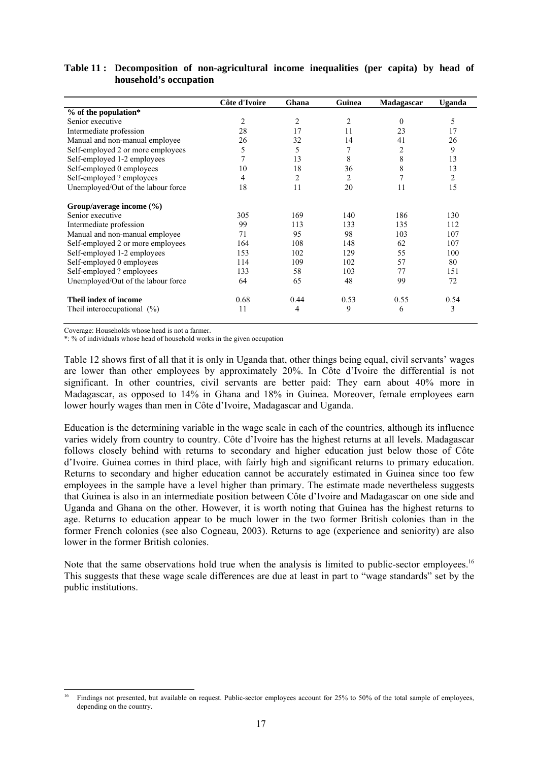|                                    | Côte d'Ivoire | Ghana          | Guinea         | Madagascar | Uganda         |
|------------------------------------|---------------|----------------|----------------|------------|----------------|
| % of the population*               |               |                |                |            |                |
| Senior executive                   | 2             | 2              | $\overline{c}$ | $\theta$   | 5              |
| Intermediate profession            | 28            | 17             | 11             | 23         | 17             |
| Manual and non-manual employee     | 26            | 32             | 14             | 41         | 26             |
| Self-employed 2 or more employees  | 5             | 5              | 7              | 2          | 9              |
| Self-employed 1-2 employees        | 7             | 13             | 8              | 8          | 13             |
| Self-employed 0 employees          | 10            | 18             | 36             | 8          | 13             |
| Self-employed ? employees          | 4             | $\overline{2}$ | $\overline{2}$ |            | $\overline{c}$ |
| Unemployed/Out of the labour force | 18            | 11             | 20             | 11         | 15             |
| Group/average income $(\% )$       |               |                |                |            |                |
| Senior executive                   | 305           | 169            | 140            | 186        | 130            |
| Intermediate profession            | 99            | 113            | 133            | 135        | 112            |
| Manual and non-manual employee     | 71            | 95             | 98             | 103        | 107            |
| Self-employed 2 or more employees  | 164           | 108            | 148            | 62         | 107            |
| Self-employed 1-2 employees        | 153           | 102            | 129            | 55         | 100            |
| Self-employed 0 employees          | 114           | 109            | 102            | 57         | 80             |
| Self-employed? employees           | 133           | 58             | 103            | 77         | 151            |
| Unemployed/Out of the labour force | 64            | 65             | 48             | 99         | 72             |
| Theil index of income              | 0.68          | 0.44           | 0.53           | 0.55       | 0.54           |
| Theil interoccupational $(\%)$     | 11            | 4              | 9              | 6          | 3              |

**Table 11 : Decomposition of non-agricultural income inequalities (per capita) by head of household's occupation** 

Coverage: Households whose head is not a farmer.

\*: % of individuals whose head of household works in the given occupation

Table 12 shows first of all that it is only in Uganda that, other things being equal, civil servants' wages are lower than other employees by approximately 20%. In Côte d'Ivoire the differential is not significant. In other countries, civil servants are better paid: They earn about 40% more in Madagascar, as opposed to 14% in Ghana and 18% in Guinea. Moreover, female employees earn lower hourly wages than men in Côte d'Ivoire, Madagascar and Uganda.

Education is the determining variable in the wage scale in each of the countries, although its influence varies widely from country to country. Côte d'Ivoire has the highest returns at all levels. Madagascar follows closely behind with returns to secondary and higher education just below those of Côte d'Ivoire. Guinea comes in third place, with fairly high and significant returns to primary education. Returns to secondary and higher education cannot be accurately estimated in Guinea since too few employees in the sample have a level higher than primary. The estimate made nevertheless suggests that Guinea is also in an intermediate position between Côte d'Ivoire and Madagascar on one side and Uganda and Ghana on the other. However, it is worth noting that Guinea has the highest returns to age. Returns to education appear to be much lower in the two former British colonies than in the former French colonies (see also Cogneau, 2003). Returns to age (experience and seniority) are also lower in the former British colonies.

Note that the same observations hold true when the analysis is limited to public-sector employees.<sup>16</sup> This suggests that these wage scale differences are due at least in part to "wage standards" set by the public institutions.

l 16 Findings not presented, but available on request. Public-sector employees account for 25% to 50% of the total sample of employees, depending on the country.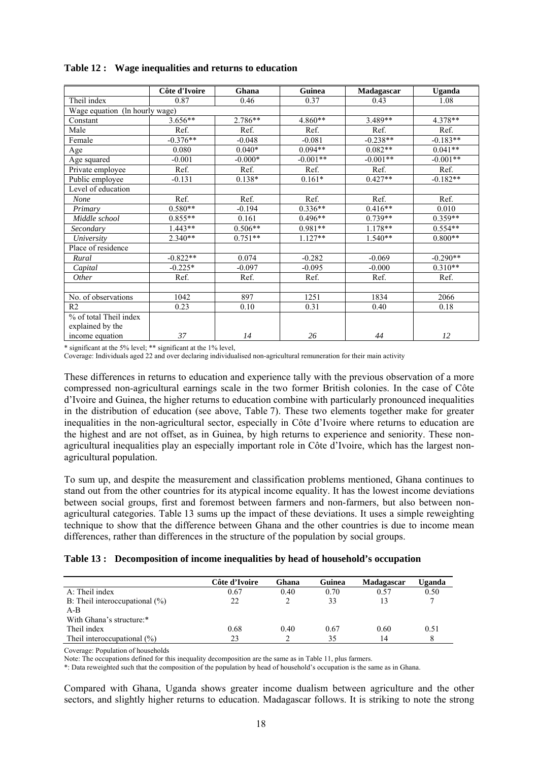|                                | Côte d'Ivoire | Ghana     | <b>Guinea</b> | Madagascar | Uganda     |
|--------------------------------|---------------|-----------|---------------|------------|------------|
| Theil index                    | 0.87          | 0.46      | 0.37          | 0.43       | 1.08       |
| Wage equation (In hourly wage) |               |           |               |            |            |
| Constant                       | $3.656**$     | $2.786**$ | 4.860**       | 3.489**    | $4.378**$  |
| Male                           | Ref.          | Ref.      | Ref.          | Ref.       | Ref.       |
| Female                         | $-0.376**$    | $-0.048$  | $-0.081$      | $-0.238**$ | $-0.183**$ |
| Age                            | 0.080         | $0.040*$  | $0.094**$     | $0.082**$  | $0.041**$  |
| Age squared                    | $-0.001$      | $-0.000*$ | $-0.001**$    | $-0.001**$ | $-0.001**$ |
| Private employee               | Ref.          | Ref.      | Ref.          | Ref.       | Ref.       |
| Public employee                | $-0.131$      | $0.138*$  | $0.161*$      | $0.427**$  | $-0.182**$ |
| Level of education             |               |           |               |            |            |
| None                           | Ref.          | Ref.      | Ref.          | Ref.       | Ref.       |
| Primary                        | $0.580**$     | $-0.194$  | $0.336**$     | $0.416**$  | 0.010      |
| Middle school                  | $0.855**$     | 0.161     | $0.496**$     | $0.739**$  | $0.359**$  |
| Secondary                      | $1.443**$     | $0.506**$ | $0.981**$     | $1.178**$  | $0.554**$  |
| University                     | $2.340**$     | $0.751**$ | $1.127**$     | $1.540**$  | $0.800**$  |
| Place of residence             |               |           |               |            |            |
| Rural                          | $-0.822**$    | 0.074     | $-0.282$      | $-0.069$   | $-0.290**$ |
| Capital                        | $-0.225*$     | $-0.097$  | $-0.095$      | $-0.000$   | $0.310**$  |
| Other                          | Ref.          | Ref.      | Ref.          | Ref.       | Ref.       |
|                                |               |           |               |            |            |
| No. of observations            | 1042          | 897       | 1251          | 1834       | 2066       |
| R <sub>2</sub>                 | 0.23          | 0.10      | 0.31          | 0.40       | 0.18       |
| % of total Theil index         |               |           |               |            |            |
| explained by the               |               |           |               |            |            |
| income equation                | 37            | 14        | 26            | 44         | 12         |

\* significant at the 5% level; \*\* significant at the 1% level,

Coverage: Individuals aged 22 and over declaring individualised non-agricultural remuneration for their main activity

These differences in returns to education and experience tally with the previous observation of a more compressed non-agricultural earnings scale in the two former British colonies. In the case of Côte d'Ivoire and Guinea, the higher returns to education combine with particularly pronounced inequalities in the distribution of education (see above, Table 7). These two elements together make for greater inequalities in the non-agricultural sector, especially in Côte d'Ivoire where returns to education are the highest and are not offset, as in Guinea, by high returns to experience and seniority. These nonagricultural inequalities play an especially important role in Côte d'Ivoire, which has the largest nonagricultural population.

To sum up, and despite the measurement and classification problems mentioned, Ghana continues to stand out from the other countries for its atypical income equality. It has the lowest income deviations between social groups, first and foremost between farmers and non-farmers, but also between nonagricultural categories. Table 13 sums up the impact of these deviations. It uses a simple reweighting technique to show that the difference between Ghana and the other countries is due to income mean differences, rather than differences in the structure of the population by social groups.

| Table 13: Decomposition of income inequalities by head of household's occupation |  |  |  |
|----------------------------------------------------------------------------------|--|--|--|
|                                                                                  |  |  |  |

|                                   | Côte d'Ivoire | Ghana | Guinea | Madagascar | Uganda |
|-----------------------------------|---------------|-------|--------|------------|--------|
| $A:$ Theil index                  | 0.67          | 0.40  | 0.70   | 0.57       | 0.50   |
| B: Theil interoccupational $(\%)$ | 22            |       | 33     |            |        |
| $A-B$                             |               |       |        |            |        |
| With Ghana's structure:*          |               |       |        |            |        |
| Theil index                       | 0.68          | 0.40  | 0.67   | 0.60       | 0.51   |
| Theil interoccupational $(\%)$    | 23            |       | 35     | 14         |        |

Coverage: Population of households

Note: The occupations defined for this inequality decomposition are the same as in Table 11, plus farmers.

\*: Data reweighted such that the composition of the population by head of household's occupation is the same as in Ghana.

Compared with Ghana, Uganda shows greater income dualism between agriculture and the other sectors, and slightly higher returns to education. Madagascar follows. It is striking to note the strong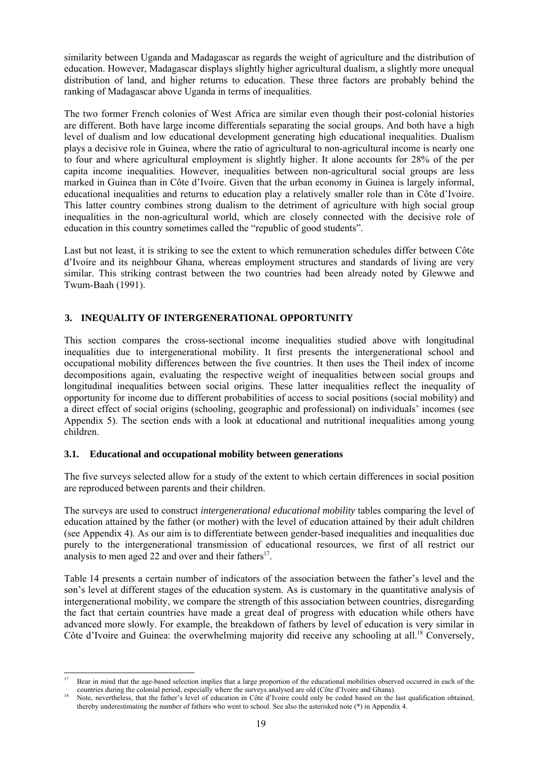similarity between Uganda and Madagascar as regards the weight of agriculture and the distribution of education. However, Madagascar displays slightly higher agricultural dualism, a slightly more unequal distribution of land, and higher returns to education. These three factors are probably behind the ranking of Madagascar above Uganda in terms of inequalities.

The two former French colonies of West Africa are similar even though their post-colonial histories are different. Both have large income differentials separating the social groups. And both have a high level of dualism and low educational development generating high educational inequalities. Dualism plays a decisive role in Guinea, where the ratio of agricultural to non-agricultural income is nearly one to four and where agricultural employment is slightly higher. It alone accounts for 28% of the per capita income inequalities. However, inequalities between non-agricultural social groups are less marked in Guinea than in Côte d'Ivoire. Given that the urban economy in Guinea is largely informal, educational inequalities and returns to education play a relatively smaller role than in Côte d'Ivoire. This latter country combines strong dualism to the detriment of agriculture with high social group inequalities in the non-agricultural world, which are closely connected with the decisive role of education in this country sometimes called the "republic of good students".

Last but not least, it is striking to see the extent to which remuneration schedules differ between Côte d'Ivoire and its neighbour Ghana, whereas employment structures and standards of living are very similar. This striking contrast between the two countries had been already noted by Glewwe and Twum-Baah (1991).

#### **3. INEQUALITY OF INTERGENERATIONAL OPPORTUNITY**

This section compares the cross-sectional income inequalities studied above with longitudinal inequalities due to intergenerational mobility. It first presents the intergenerational school and occupational mobility differences between the five countries. It then uses the Theil index of income decompositions again, evaluating the respective weight of inequalities between social groups and longitudinal inequalities between social origins. These latter inequalities reflect the inequality of opportunity for income due to different probabilities of access to social positions (social mobility) and a direct effect of social origins (schooling, geographic and professional) on individuals' incomes (see Appendix 5). The section ends with a look at educational and nutritional inequalities among young children.

#### **3.1. Educational and occupational mobility between generations**

The five surveys selected allow for a study of the extent to which certain differences in social position are reproduced between parents and their children.

The surveys are used to construct *intergenerational educational mobility* tables comparing the level of education attained by the father (or mother) with the level of education attained by their adult children (see Appendix 4). As our aim is to differentiate between gender-based inequalities and inequalities due purely to the intergenerational transmission of educational resources, we first of all restrict our analysis to men aged 22 and over and their fathers $17$ .

Table 14 presents a certain number of indicators of the association between the father's level and the son's level at different stages of the education system. As is customary in the quantitative analysis of intergenerational mobility, we compare the strength of this association between countries, disregarding the fact that certain countries have made a great deal of progress with education while others have advanced more slowly. For example, the breakdown of fathers by level of education is very similar in Côte d'Ivoire and Guinea: the overwhelming majority did receive any schooling at all.<sup>18</sup> Conversely,

 $17$ 17 Bear in mind that the age-based selection implies that a large proportion of the educational mobilities observed occurred in each of the countries during the colonial period, especially where the surveys analysed are old (Côte d'Ivoire and Ghana).<br>Note, nevertheless, that the father's level of education in Côte d'Ivoire could only be coded based on the last

thereby underestimating the number of fathers who went to school. See also the asterisked note (\*) in Appendix 4.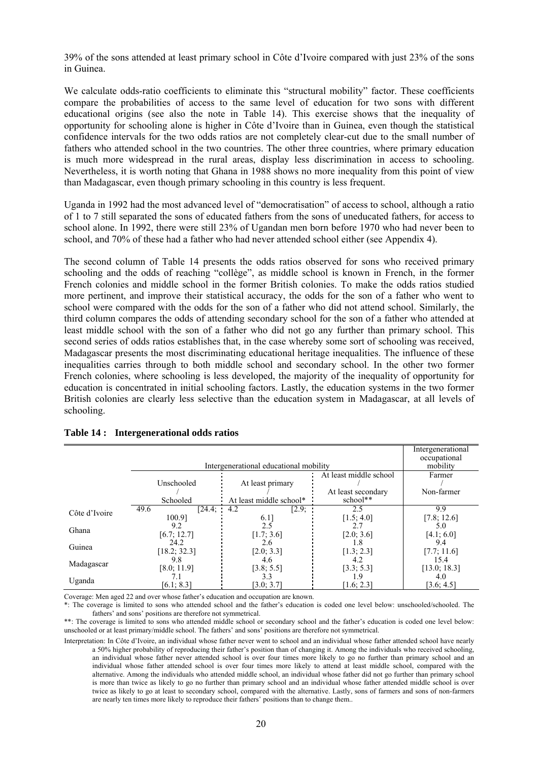39% of the sons attended at least primary school in Côte d'Ivoire compared with just 23% of the sons in Guinea.

We calculate odds-ratio coefficients to eliminate this "structural mobility" factor. These coefficients compare the probabilities of access to the same level of education for two sons with different educational origins (see also the note in Table 14). This exercise shows that the inequality of opportunity for schooling alone is higher in Côte d'Ivoire than in Guinea, even though the statistical confidence intervals for the two odds ratios are not completely clear-cut due to the small number of fathers who attended school in the two countries. The other three countries, where primary education is much more widespread in the rural areas, display less discrimination in access to schooling. Nevertheless, it is worth noting that Ghana in 1988 shows no more inequality from this point of view than Madagascar, even though primary schooling in this country is less frequent.

Uganda in 1992 had the most advanced level of "democratisation" of access to school, although a ratio of 1 to 7 still separated the sons of educated fathers from the sons of uneducated fathers, for access to school alone. In 1992, there were still 23% of Ugandan men born before 1970 who had never been to school, and 70% of these had a father who had never attended school either (see Appendix 4).

The second column of Table 14 presents the odds ratios observed for sons who received primary schooling and the odds of reaching "collège", as middle school is known in French, in the former French colonies and middle school in the former British colonies. To make the odds ratios studied more pertinent, and improve their statistical accuracy, the odds for the son of a father who went to school were compared with the odds for the son of a father who did not attend school. Similarly, the third column compares the odds of attending secondary school for the son of a father who attended at least middle school with the son of a father who did not go any further than primary school. This second series of odds ratios establishes that, in the case whereby some sort of schooling was received, Madagascar presents the most discriminating educational heritage inequalities. The influence of these inequalities carries through to both middle school and secondary school. In the other two former French colonies, where schooling is less developed, the majority of the inequality of opportunity for education is concentrated in initial schooling factors. Lastly, the education systems in the two former British colonies are clearly less selective than the education system in Madagascar, at all levels of schooling.

|               |                |                                        |                        | Intergenerational<br>occupational |  |  |  |  |
|---------------|----------------|----------------------------------------|------------------------|-----------------------------------|--|--|--|--|
|               |                |                                        |                        |                                   |  |  |  |  |
|               |                | Intergenerational educational mobility |                        | mobility                          |  |  |  |  |
|               |                |                                        | At least middle school | Farmer                            |  |  |  |  |
|               | Unschooled     | At least primary                       |                        |                                   |  |  |  |  |
|               |                |                                        | At least secondary     | Non-farmer                        |  |  |  |  |
|               | Schooled       | At least middle school*                | school**               |                                   |  |  |  |  |
| Côte d'Ivoire | 49.6<br>[24.4: | [2.9;<br>4.2                           | 2.5                    | 9.9                               |  |  |  |  |
|               | 100.91         | 6.1                                    | [1.5; 4.0]             | [7.8; 12.6]                       |  |  |  |  |
|               | 9.2            | 2.5                                    | 2.7                    | 5.0                               |  |  |  |  |
| Ghana         | [6.7; 12.7]    | [1.7; 3.6]                             | [2.0; 3.6]             | [4.1; 6.0]                        |  |  |  |  |
| Guinea        | 24.2           | 2.6                                    | 1.8                    | 9.4                               |  |  |  |  |
|               | [18.2; 32.3]   | [2.0; 3.3]                             | [1.3; 2.3]             | [7.7; 11.6]                       |  |  |  |  |
|               | 9.8            | 4.6                                    | 4.2                    | 15.4                              |  |  |  |  |
| Madagascar    | [8.0; 11.9]    | [3.8; 5.5]                             | [3.3; 5.3]             | [13.0; 18.3]                      |  |  |  |  |
|               |                | 3.3                                    |                        | 4.0                               |  |  |  |  |
| Uganda        | [6.1; 8.3]     | [3.0; 3.7]                             | [1.6; 2.3]             | [3.6; 4.5]                        |  |  |  |  |

#### **Table 14 : Intergenerational odds ratios**

Coverage: Men aged 22 and over whose father's education and occupation are known.

\*: The coverage is limited to sons who attended school and the father's education is coded one level below: unschooled/schooled. The fathers' and sons' positions are therefore not symmetrical.

\*\*: The coverage is limited to sons who attended middle school or secondary school and the father's education is coded one level below: unschooled or at least primary/middle school. The fathers' and sons' positions are therefore not symmetrical.

Interpretation: In Côte d'Ivoire, an individual whose father never went to school and an individual whose father attended school have nearly a 50% higher probability of reproducing their father's position than of changing it. Among the individuals who received schooling, an individual whose father never attended school is over four times more likely to go no further than primary school and an individual whose father attended school is over four times more likely to attend at least middle school, compared with the alternative. Among the individuals who attended middle school, an individual whose father did not go further than primary school is more than twice as likely to go no further than primary school and an individual whose father attended middle school is over twice as likely to go at least to secondary school, compared with the alternative. Lastly, sons of farmers and sons of non-farmers are nearly ten times more likely to reproduce their fathers' positions than to change them..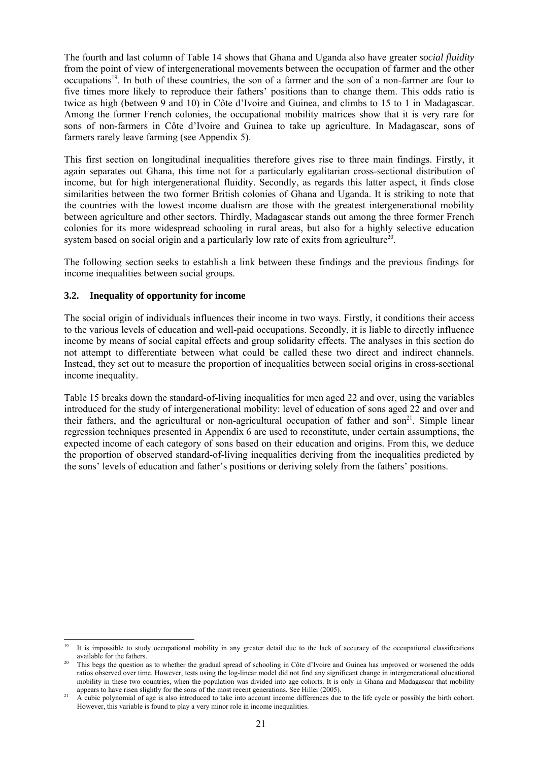The fourth and last column of Table 14 shows that Ghana and Uganda also have greater *social fluidity* from the point of view of intergenerational movements between the occupation of farmer and the other occupations19. In both of these countries, the son of a farmer and the son of a non-farmer are four to five times more likely to reproduce their fathers' positions than to change them. This odds ratio is twice as high (between 9 and 10) in Côte d'Ivoire and Guinea, and climbs to 15 to 1 in Madagascar. Among the former French colonies, the occupational mobility matrices show that it is very rare for sons of non-farmers in Côte d'Ivoire and Guinea to take up agriculture. In Madagascar, sons of farmers rarely leave farming (see Appendix 5).

This first section on longitudinal inequalities therefore gives rise to three main findings. Firstly, it again separates out Ghana, this time not for a particularly egalitarian cross-sectional distribution of income, but for high intergenerational fluidity. Secondly, as regards this latter aspect, it finds close similarities between the two former British colonies of Ghana and Uganda. It is striking to note that the countries with the lowest income dualism are those with the greatest intergenerational mobility between agriculture and other sectors. Thirdly, Madagascar stands out among the three former French colonies for its more widespread schooling in rural areas, but also for a highly selective education system based on social origin and a particularly low rate of exits from agriculture<sup>20</sup>.

The following section seeks to establish a link between these findings and the previous findings for income inequalities between social groups.

#### **3.2. Inequality of opportunity for income**

The social origin of individuals influences their income in two ways. Firstly, it conditions their access to the various levels of education and well-paid occupations. Secondly, it is liable to directly influence income by means of social capital effects and group solidarity effects. The analyses in this section do not attempt to differentiate between what could be called these two direct and indirect channels. Instead, they set out to measure the proportion of inequalities between social origins in cross-sectional income inequality.

Table 15 breaks down the standard-of-living inequalities for men aged 22 and over, using the variables introduced for the study of intergenerational mobility: level of education of sons aged 22 and over and their fathers, and the agricultural or non-agricultural occupation of father and  $\text{son}^{21}$ . Simple linear regression techniques presented in Appendix 6 are used to reconstitute, under certain assumptions, the expected income of each category of sons based on their education and origins. From this, we deduce the proportion of observed standard-of-living inequalities deriving from the inequalities predicted by the sons' levels of education and father's positions or deriving solely from the fathers' positions.

 $\overline{a}$ 19 It is impossible to study occupational mobility in any greater detail due to the lack of accuracy of the occupational classifications available for the fathers.<br>This begs the question as to whether the gradual spread of schooling in Côte d'Ivoire and Guinea has improved or worsened the odds

ratios observed over time. However, tests using the log-linear model did not find any significant change in intergenerational educational mobility in these two countries, when the population was divided into age cohorts. It is only in Ghana and Madagascar that mobility

appears to have risen slightly for the sons of the most recent generations. See Hiller (2005).<br>A cubic polynomial of age is also introduced to take into account income differences due to the life cycle or possibly the birt However, this variable is found to play a very minor role in income inequalities.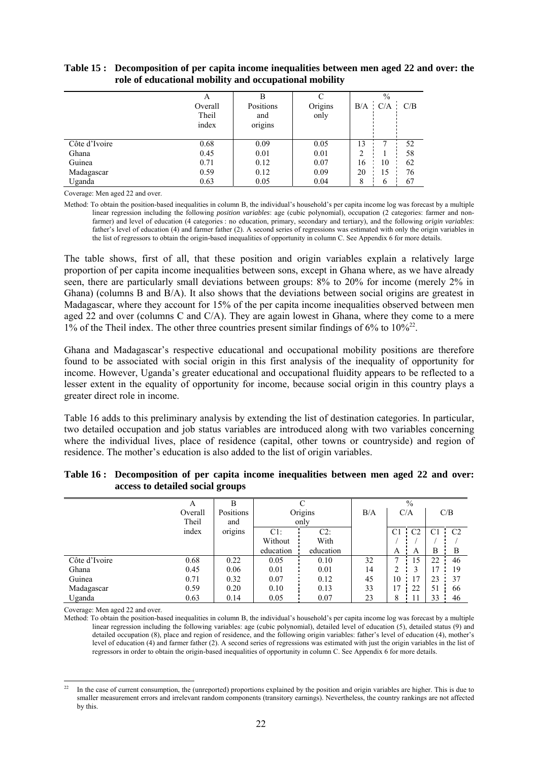|               | A       |           |         | $\%$ |             |     |
|---------------|---------|-----------|---------|------|-------------|-----|
|               | Overall | Positions | Origins |      | $B/A$ $C/A$ | C/B |
|               | Theil   | and       | only    |      |             |     |
|               | index   | origins   |         |      |             |     |
|               |         |           |         |      |             |     |
| Côte d'Ivoire | 0.68    | 0.09      | 0.05    | 13   |             | 52  |
| Ghana         | 0.45    | 0.01      | 0.01    | າ    |             | 58  |
| Guinea        | 0.71    | 0.12      | 0.07    | 16   | 10          | 62  |
| Madagascar    | 0.59    | 0.12      | 0.09    | 20   | 15          | 76  |
| Uganda        | 0.63    | 0.05      | 0.04    | 8    | 6           | 67  |

#### **Table 15 : Decomposition of per capita income inequalities between men aged 22 and over: the role of educational mobility and occupational mobility**

Coverage: Men aged 22 and over.

Method: To obtain the position-based inequalities in column B, the individual's household's per capita income log was forecast by a multiple linear regression including the following *position variables*: age (cubic polynomial), occupation (2 categories: farmer and nonfarmer) and level of education (4 categories : no education, primary, secondary and tertiary), and the following *origin variables*: father's level of education (4) and farmer father (2). A second series of regressions was estimated with only the origin variables in the list of regressors to obtain the origin-based inequalities of opportunity in column C. See Appendix 6 for more details.

The table shows, first of all, that these position and origin variables explain a relatively large proportion of per capita income inequalities between sons, except in Ghana where, as we have already seen, there are particularly small deviations between groups: 8% to 20% for income (merely 2% in Ghana) (columns B and B/A). It also shows that the deviations between social origins are greatest in Madagascar, where they account for 15% of the per capita income inequalities observed between men aged 22 and over (columns C and C/A). They are again lowest in Ghana, where they come to a mere 1% of the Theil index. The other three countries present similar findings of 6% to  $10\frac{\cancel{6}}{2}$ .

Ghana and Madagascar's respective educational and occupational mobility positions are therefore found to be associated with social origin in this first analysis of the inequality of opportunity for income. However, Uganda's greater educational and occupational fluidity appears to be reflected to a lesser extent in the equality of opportunity for income, because social origin in this country plays a greater direct role in income.

Table 16 adds to this preliminary analysis by extending the list of destination categories. In particular, two detailed occupation and job status variables are introduced along with two variables concerning where the individual lives, place of residence (capital, other towns or countryside) and region of residence. The mother's education is also added to the list of origin variables.

|               | A       | в         |           |           | $\%$ |                |                |                |                |
|---------------|---------|-----------|-----------|-----------|------|----------------|----------------|----------------|----------------|
|               | Overall | Positions | Origins   |           | B/A  |                | C/A            |                | C/B            |
|               | Theil   | and       | only      |           |      |                |                |                |                |
|               | index   | origins   | $C1$ :    | $C2$ :    |      | C <sub>1</sub> | C <sub>2</sub> | C <sub>1</sub> | C <sub>2</sub> |
|               |         |           | Without   | With      |      |                |                |                |                |
|               |         |           | education | education |      | A              | А              | B              | B              |
| Côte d'Ivoire | 0.68    | 0.22      | 0.05      | 0.10      | 32   |                |                | 22             | 46             |
| Ghana         | 0.45    | 0.06      | 0.01      | 0.01      | 14   | ∍              |                |                | 19             |
| Guinea        | 0.71    | 0.32      | 0.07      | 0.12      | 45   | 10             |                | 23             | 37             |
| Madagascar    | 0.59    | 0.20      | 0.10      | 0.13      | 33   | 17             | 22             | 51             | 66             |
| Uganda        | 0.63    | 0.14      | 0.05      | 0.07      | 23   | 8              |                | 33             | 46             |

#### **Table 16 : Decomposition of per capita income inequalities between men aged 22 and over: access to detailed social groups**

Coverage: Men aged 22 and over.

Method: To obtain the position-based inequalities in column B, the individual's household's per capita income log was forecast by a multiple linear regression including the following variables: age (cubic polynomial), detailed level of education (5), detailed status (9) and detailed occupation (8), place and region of residence, and the following origin variables: father's level of education (4), mother's level of education (4) and farmer father (2). A second series of regressions was estimated with just the origin variables in the list of regressors in order to obtain the origin-based inequalities of opportunity in column C. See Appendix 6 for more details.

l 22 In the case of current consumption, the (unreported) proportions explained by the position and origin variables are higher. This is due to smaller measurement errors and irrelevant random components (transitory earnings). Nevertheless, the country rankings are not affected by this.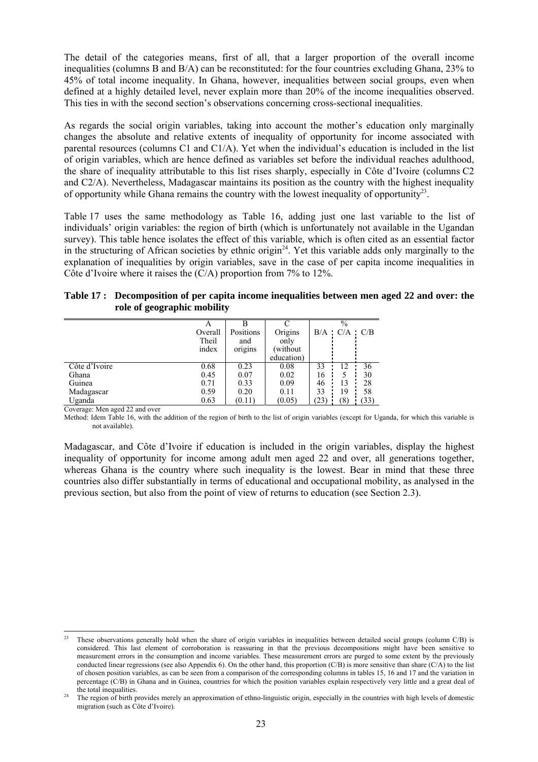The detail of the categories means, first of all, that a larger proportion of the overall income inequalities (columns B and B/A) can be reconstituted: for the four countries excluding Ghana, 23% to 45% of total income inequality. In Ghana, however, inequalities between social groups, even when defined at a highly detailed level, never explain more than 20% of the income inequalities observed. This ties in with the second section's observations concerning cross-sectional inequalities.

As regards the social origin variables, taking into account the mother's education only marginally changes the absolute and relative extents of inequality of opportunity for income associated with parental resources (columns C1 and C1/A). Yet when the individual's education is included in the list of origin variables, which are hence defined as variables set before the individual reaches adulthood, the share of inequality attributable to this list rises sharply, especially in Côte d'Ivoire (columns C2 and C2/A). Nevertheless, Madagascar maintains its position as the country with the highest inequality of opportunity while Ghana remains the country with the lowest inequality of opportunity<sup>23</sup>.

Table 17 uses the same methodology as Table 16, adding just one last variable to the list of individuals' origin variables: the region of birth (which is unfortunately not available in the Ugandan survey). This table hence isolates the effect of this variable, which is often cited as an essential factor in the structuring of African societies by ethnic origin<sup>24</sup>. Yet this variable adds only marginally to the explanation of inequalities by origin variables, save in the case of per capita income inequalities in Côte d'Ivoire where it raises the (C/A) proportion from 7% to 12%.

| Table 17: Decomposition of per capita income inequalities between men aged 22 and over: the |
|---------------------------------------------------------------------------------------------|
| role of geographic mobility                                                                 |

|               | А<br>Overall<br>Theil | Positions<br>and | Origins<br>only |      | $\%$<br>$B/A$ $C/A$ $C/B$ |      |
|---------------|-----------------------|------------------|-----------------|------|---------------------------|------|
|               | index                 | origins          | without         |      |                           |      |
|               |                       |                  | education)      |      |                           |      |
| Côte d'Ivoire | 0.68                  | 0.23             | 0.08            | 33   | 12                        | 36   |
| Ghana         | 0.45                  | 0.07             | 0.02            | 16   |                           | 30   |
| Guinea        | 0.71                  | 0.33             | 0.09            | 46   | 13                        | 28   |
| Madagascar    | 0.59                  | 0.20             | 0.11            | 33   | 19                        | 58   |
| Uganda        | 0.63                  | (0.11)           | (0.05)          | (23) | (8)                       | (33) |

Coverage: Men aged 22 and over

Method: Idem Table 16, with the addition of the region of birth to the list of origin variables (except for Uganda, for which this variable is not available).

Madagascar, and Côte d'Ivoire if education is included in the origin variables, display the highest inequality of opportunity for income among adult men aged 22 and over, all generations together, whereas Ghana is the country where such inequality is the lowest. Bear in mind that these three countries also differ substantially in terms of educational and occupational mobility, as analysed in the previous section, but also from the point of view of returns to education (see Section 2.3).

l These observations generally hold when the share of origin variables in inequalities between detailed social groups (column C/B) is considered. This last element of corroboration is reassuring in that the previous decompositions might have been sensitive to measurement errors in the consumption and income variables. These measurement errors are purged to some extent by the previously conducted linear regressions (see also Appendix 6). On the other hand, this proportion  $(C/B)$  is more sensitive than share  $(C/A)$  to the list of chosen position variables, as can be seen from a comparison of the corresponding columns in tables 15, 16 and 17 and the variation in percentage (C/B) in Ghana and in Guinea, countries for which the position variables explain respectively very little and a great deal of

the total inequalities.<br>The region of birth provides merely an approximation of ethno-linguistic origin, especially in the countries with high levels of domestic migration (such as Côte d'Ivoire).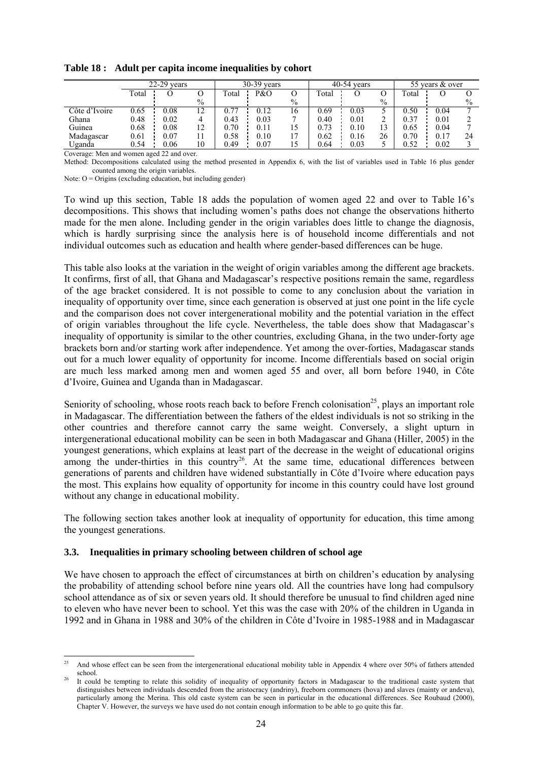|               | $22-29$ vears |      |               | $30-39$ vears |      |      |       | $40-54$ vears |      |       | 55 years & over |               |
|---------------|---------------|------|---------------|---------------|------|------|-------|---------------|------|-------|-----------------|---------------|
|               | Total         |      |               | Total         | P&O  |      | Total |               |      | Total |                 |               |
|               |               |      | $\%$          |               |      | $\%$ |       |               | $\%$ |       |                 | $\frac{0}{0}$ |
| Côte d'Ivoire | 0.65          | 0.08 | 12            | 0.77          | 0.12 | 16   | 0.69  | 0.03          |      | 0.50  | 0.04            |               |
| Ghana         | 0.48          | 0.02 | 4             | 0.43          | 0.03 |      | 0.40  | 0.01          |      | 0.37  | 0.01            |               |
| Guinea        | 0.68          | 0.08 | 12<br>$\perp$ | 0.70          | 0.11 |      | 0.73  | 0.10          | 13   | 0.65  | 0.04            |               |
| Madagascar    | 0.61          | 0.07 |               | 0.58          | 0.10 |      | 0.62  | 0.16          | 26   | 0.70  | 0.17            | 24            |
| Uganda        | 0.54          | 0.06 | 10            | 0.49          | 0.07 |      | 0.64  | 0.03          |      | 0.52  | 0.02            |               |

**Table 18 : Adult per capita income inequalities by cohort** 

Coverage: Men and women aged 22 and over.

Method: Decompositions calculated using the method presented in Appendix 6, with the list of variables used in Table 16 plus gender counted among the origin variables.

Note:  $O =$  Origins (excluding education, but including gender)

To wind up this section, Table 18 adds the population of women aged 22 and over to Table 16's decompositions. This shows that including women's paths does not change the observations hitherto made for the men alone. Including gender in the origin variables does little to change the diagnosis, which is hardly surprising since the analysis here is of household income differentials and not individual outcomes such as education and health where gender-based differences can be huge.

This table also looks at the variation in the weight of origin variables among the different age brackets. It confirms, first of all, that Ghana and Madagascar's respective positions remain the same, regardless of the age bracket considered. It is not possible to come to any conclusion about the variation in inequality of opportunity over time, since each generation is observed at just one point in the life cycle and the comparison does not cover intergenerational mobility and the potential variation in the effect of origin variables throughout the life cycle. Nevertheless, the table does show that Madagascar's inequality of opportunity is similar to the other countries, excluding Ghana, in the two under-forty age brackets born and/or starting work after independence. Yet among the over-forties, Madagascar stands out for a much lower equality of opportunity for income. Income differentials based on social origin are much less marked among men and women aged 55 and over, all born before 1940, in Côte d'Ivoire, Guinea and Uganda than in Madagascar.

Seniority of schooling, whose roots reach back to before French colonisation<sup>25</sup>, plays an important role in Madagascar. The differentiation between the fathers of the eldest individuals is not so striking in the other countries and therefore cannot carry the same weight. Conversely, a slight upturn in intergenerational educational mobility can be seen in both Madagascar and Ghana (Hiller, 2005) in the youngest generations, which explains at least part of the decrease in the weight of educational origins among the under-thirties in this country<sup>26</sup>. At the same time, educational differences between generations of parents and children have widened substantially in Côte d'Ivoire where education pays the most. This explains how equality of opportunity for income in this country could have lost ground without any change in educational mobility.

The following section takes another look at inequality of opportunity for education, this time among the youngest generations.

#### **3.3. Inequalities in primary schooling between children of school age**

We have chosen to approach the effect of circumstances at birth on children's education by analysing the probability of attending school before nine years old. All the countries have long had compulsory school attendance as of six or seven years old. It should therefore be unusual to find children aged nine to eleven who have never been to school. Yet this was the case with 20% of the children in Uganda in 1992 and in Ghana in 1988 and 30% of the children in Côte d'Ivoire in 1985-1988 and in Madagascar

<sup>25</sup> 25 And whose effect can be seen from the intergenerational educational mobility table in Appendix 4 where over 50% of fathers attended school.<br>It could be tempting to relate this solidity of inequality of opportunity factors in Madagascar to the traditional caste system that

distinguishes between individuals descended from the aristocracy (andriny), freeborn commoners (hova) and slaves (mainty or andeva), particularly among the Merina. This old caste system can be seen in particular in the educational differences. See Roubaud (2000), Chapter V. However, the surveys we have used do not contain enough information to be able to go quite this far.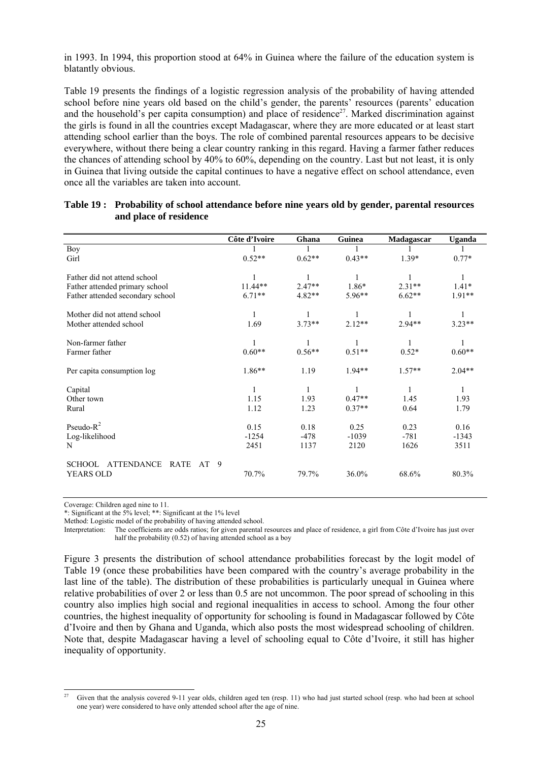in 1993. In 1994, this proportion stood at 64% in Guinea where the failure of the education system is blatantly obvious.

Table 19 presents the findings of a logistic regression analysis of the probability of having attended school before nine years old based on the child's gender, the parents' resources (parents' education and the household's per capita consumption) and place of residence<sup>27</sup>. Marked discrimination against the girls is found in all the countries except Madagascar, where they are more educated or at least start attending school earlier than the boys. The role of combined parental resources appears to be decisive everywhere, without there being a clear country ranking in this regard. Having a farmer father reduces the chances of attending school by 40% to 60%, depending on the country. Last but not least, it is only in Guinea that living outside the capital continues to have a negative effect on school attendance, even once all the variables are taken into account.

|                                                              | Côte d'Ivoire | Ghana    | Guinea   | Madagascar | Uganda   |
|--------------------------------------------------------------|---------------|----------|----------|------------|----------|
| <b>Boy</b>                                                   |               |          |          |            |          |
| Girl                                                         | $0.52**$      | $0.62**$ | $0.43**$ | $1.39*$    | $0.77*$  |
|                                                              |               |          |          |            |          |
| Father did not attend school                                 |               |          |          |            |          |
| Father attended primary school                               | 11.44**       | $2.47**$ | 1.86*    | $2.31**$   | $1.41*$  |
| Father attended secondary school                             | $6.71**$      | $4.82**$ | 5.96**   | $6.62**$   | $1.91**$ |
|                                                              |               |          |          |            |          |
| Mother did not attend school                                 |               |          |          |            | 1        |
| Mother attended school                                       | 1.69          | $3.73**$ | $2.12**$ | $2.94**$   | $3.23**$ |
|                                                              |               |          |          |            |          |
| Non-farmer father                                            |               |          | 1        |            | 1        |
| Farmer father                                                | $0.60**$      | $0.56**$ | $0.51**$ | $0.52*$    | $0.60**$ |
|                                                              | $1.86**$      | 1.19     | $1.94**$ | $1.57**$   | $2.04**$ |
| Per capita consumption log                                   |               |          |          |            |          |
| Capital                                                      | 1             | 1        | 1        | 1          | 1        |
| Other town                                                   | 1.15          | 1.93     | $0.47**$ | 1.45       | 1.93     |
| Rural                                                        | 1.12          | 1.23     | $0.37**$ | 0.64       | 1.79     |
|                                                              |               |          |          |            |          |
| Pseudo- $R^2$                                                | 0.15          | 0.18     | 0.25     | 0.23       | 0.16     |
| Log-likelihood                                               | $-1254$       | $-478$   | $-1039$  | $-781$     | $-1343$  |
| N                                                            | 2451          | 1137     | 2120     | 1626       | 3511     |
|                                                              |               |          |          |            |          |
| <b>ATTENDANCE</b><br><b>RATE</b><br>AT<br>9<br><b>SCHOOL</b> |               |          |          |            |          |
| YEARS OLD                                                    | 70.7%         | 79.7%    | 36.0%    | 68.6%      | 80.3%    |
|                                                              |               |          |          |            |          |

#### **Table 19 : Probability of school attendance before nine years old by gender, parental resources and place of residence**

Coverage: Children aged nine to 11.

\*: Significant at the 5% level; \*\*: Significant at the 1% level

Method: Logistic model of the probability of having attended school.

Interpretation: The coefficients are odds ratios; for given parental resources and place of residence, a girl from Côte d'Ivoire has just over half the probability (0.52) of having attended school as a boy

Figure 3 presents the distribution of school attendance probabilities forecast by the logit model of Table 19 (once these probabilities have been compared with the country's average probability in the last line of the table). The distribution of these probabilities is particularly unequal in Guinea where relative probabilities of over 2 or less than 0.5 are not uncommon. The poor spread of schooling in this country also implies high social and regional inequalities in access to school. Among the four other countries, the highest inequality of opportunity for schooling is found in Madagascar followed by Côte d'Ivoire and then by Ghana and Uganda, which also posts the most widespread schooling of children. Note that, despite Madagascar having a level of schooling equal to Côte d'Ivoire, it still has higher inequality of opportunity.

l Given that the analysis covered 9-11 year olds, children aged ten (resp. 11) who had just started school (resp. who had been at school one year) were considered to have only attended school after the age of nine.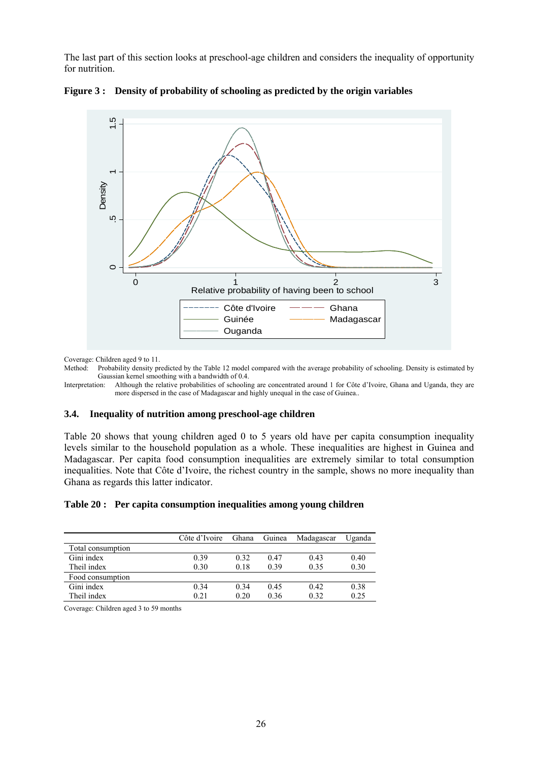The last part of this section looks at preschool-age children and considers the inequality of opportunity for nutrition.



**Figure 3 : Density of probability of schooling as predicted by the origin variables** 

Coverage: Children aged 9 to 11.

Method: Probability density predicted by the Table 12 model compared with the average probability of schooling. Density is estimated by Gaussian kernel smoothing with a bandwidth of 0.4.<br>Interpretation: Although the relative probabilities of schooling

Although the relative probabilities of schooling are concentrated around 1 for Côte d'Ivoire, Ghana and Uganda, they are more dispersed in the case of Madagascar and highly unequal in the case of Guinea..

#### **3.4. Inequality of nutrition among preschool-age children**

Table 20 shows that young children aged 0 to 5 years old have per capita consumption inequality levels similar to the household population as a whole. These inequalities are highest in Guinea and Madagascar. Per capita food consumption inequalities are extremely similar to total consumption inequalities. Note that Côte d'Ivoire, the richest country in the sample, shows no more inequality than Ghana as regards this latter indicator.

#### **Table 20 : Per capita consumption inequalities among young children**

|                   | Côte d'Ivoire | Ghana | Guinea | Madagascar | Uganda |
|-------------------|---------------|-------|--------|------------|--------|
| Total consumption |               |       |        |            |        |
| Gini index        | 0.39          | 0.32  | 0.47   | 0.43       | 0.40   |
| Theil index       | 0.30          | 0.18  | 0.39   | 0.35       | 0.30   |
| Food consumption  |               |       |        |            |        |
| Gini index        | 0.34          | 0.34  | 0.45   | 0.42       | 0.38   |
| Theil index       | 0.21          | 0.20  | 0.36   | 0.32       | 0.25   |

Coverage: Children aged 3 to 59 months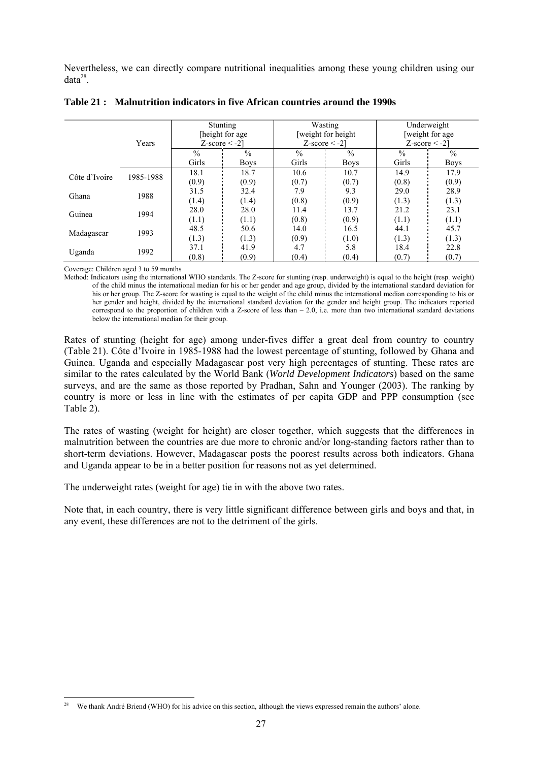Nevertheless, we can directly compare nutritional inequalities among these young children using our  $data^{28}$ 

|               | Years     | Stunting<br>[height for age]<br>$Z-score < -2$ ] |               | Wasting<br>$Z-score < -21$ | [weight for height] | Underweight<br>weight for age<br>$Z-score < -2$ |               |
|---------------|-----------|--------------------------------------------------|---------------|----------------------------|---------------------|-------------------------------------------------|---------------|
|               |           | $\frac{0}{0}$                                    | $\frac{0}{0}$ | $\frac{0}{0}$              | $\frac{0}{0}$       | $\frac{0}{0}$                                   | $\frac{0}{0}$ |
|               |           | Girls                                            | <b>Boys</b>   | Girls                      | <b>Boys</b>         | Girls                                           | Boys          |
| Côte d'Ivoire | 1985-1988 | 18.1                                             | 18.7          | 10.6                       | 10.7                | 14.9                                            | 17.9          |
|               |           | (0.9)                                            | (0.9)         | (0.7)                      | (0.7)               | (0.8)                                           | (0.9)         |
|               | 1988      | 31.5                                             | 32.4          | 7.9                        | 9.3                 | 29.0                                            | 28.9          |
| Ghana         |           | (1.4)                                            | (1.4)         | (0.8)                      | (0.9)               | (1.3)                                           | (1.3)         |
| Guinea        | 1994      | 28.0                                             | 28.0          | 11.4                       | 13.7                | 21.2                                            | 23.1          |
|               |           | (1.1)                                            | (1.1)         | (0.8)                      | (0.9)               | (1.1)                                           | (1.1)         |
|               | 1993      | 48.5                                             | 50.6          | 14.0                       | 16.5                | 44.1                                            | 45.7          |
| Madagascar    |           | (1.3)                                            | (1.3)         | (0.9)                      | (1.0)               | (1.3)                                           | (1.3)         |
|               |           | 37.1                                             | 41.9          | 4.7                        | 5.8                 | 18.4                                            | 22.8          |
| Uganda        | 1992      | (0.8)                                            | (0.9)         | (0.4)                      | (0.4)               | (0.7)                                           | (0.7)         |

#### **Table 21 : Malnutrition indicators in five African countries around the 1990s**

Coverage: Children aged 3 to 59 months

 $\overline{a}$ 

Method: Indicators using the international WHO standards. The Z-score for stunting (resp. underweight) is equal to the height (resp. weight) of the child minus the international median for his or her gender and age group, divided by the international standard deviation for his or her group. The Z-score for wasting is equal to the weight of the child minus the international median corresponding to his or her gender and height, divided by the international standard deviation for the gender and height group. The indicators reported correspond to the proportion of children with a Z-score of less than  $-2.0$ , i.e. more than two international standard deviations below the international median for their group.

Rates of stunting (height for age) among under-fives differ a great deal from country to country (Table 21). Côte d'Ivoire in 1985-1988 had the lowest percentage of stunting, followed by Ghana and Guinea. Uganda and especially Madagascar post very high percentages of stunting. These rates are similar to the rates calculated by the World Bank (*World Development Indicators*) based on the same surveys, and are the same as those reported by Pradhan, Sahn and Younger (2003). The ranking by country is more or less in line with the estimates of per capita GDP and PPP consumption (see Table 2).

The rates of wasting (weight for height) are closer together, which suggests that the differences in malnutrition between the countries are due more to chronic and/or long-standing factors rather than to short-term deviations. However, Madagascar posts the poorest results across both indicators. Ghana and Uganda appear to be in a better position for reasons not as yet determined.

The underweight rates (weight for age) tie in with the above two rates.

Note that, in each country, there is very little significant difference between girls and boys and that, in any event, these differences are not to the detriment of the girls.

We thank André Briend (WHO) for his advice on this section, although the views expressed remain the authors' alone.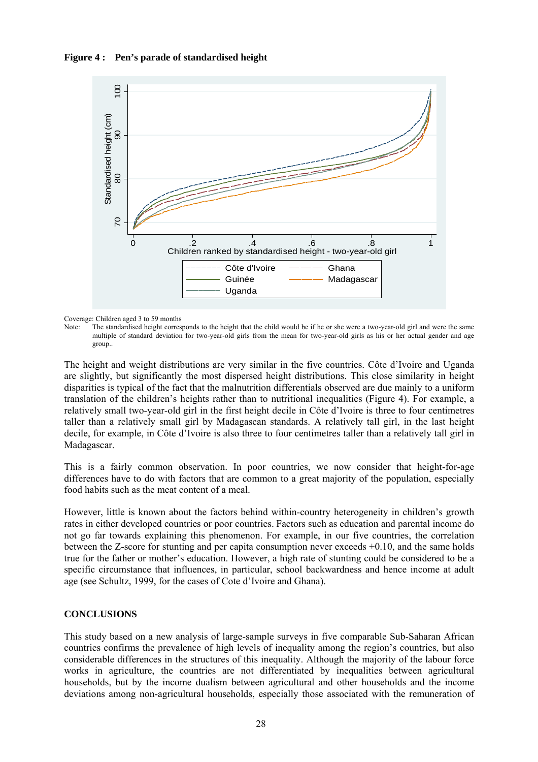**Figure 4 : Pen's parade of standardised height** 



Coverage: Children aged 3 to 59 months

Note: The standardised height corresponds to the height that the child would be if he or she were a two-year-old girl and were the same multiple of standard deviation for two-year-old girls from the mean for two-year-old girls as his or her actual gender and age group..

The height and weight distributions are very similar in the five countries. Côte d'Ivoire and Uganda are slightly, but significantly the most dispersed height distributions. This close similarity in height disparities is typical of the fact that the malnutrition differentials observed are due mainly to a uniform translation of the children's heights rather than to nutritional inequalities (Figure 4). For example, a relatively small two-year-old girl in the first height decile in Côte d'Ivoire is three to four centimetres taller than a relatively small girl by Madagascan standards. A relatively tall girl, in the last height decile, for example, in Côte d'Ivoire is also three to four centimetres taller than a relatively tall girl in Madagascar.

This is a fairly common observation. In poor countries, we now consider that height-for-age differences have to do with factors that are common to a great majority of the population, especially food habits such as the meat content of a meal.

However, little is known about the factors behind within-country heterogeneity in children's growth rates in either developed countries or poor countries. Factors such as education and parental income do not go far towards explaining this phenomenon. For example, in our five countries, the correlation between the Z-score for stunting and per capita consumption never exceeds +0.10, and the same holds true for the father or mother's education. However, a high rate of stunting could be considered to be a specific circumstance that influences, in particular, school backwardness and hence income at adult age (see Schultz, 1999, for the cases of Cote d'Ivoire and Ghana).

#### **CONCLUSIONS**

This study based on a new analysis of large-sample surveys in five comparable Sub-Saharan African countries confirms the prevalence of high levels of inequality among the region's countries, but also considerable differences in the structures of this inequality. Although the majority of the labour force works in agriculture, the countries are not differentiated by inequalities between agricultural households, but by the income dualism between agricultural and other households and the income deviations among non-agricultural households, especially those associated with the remuneration of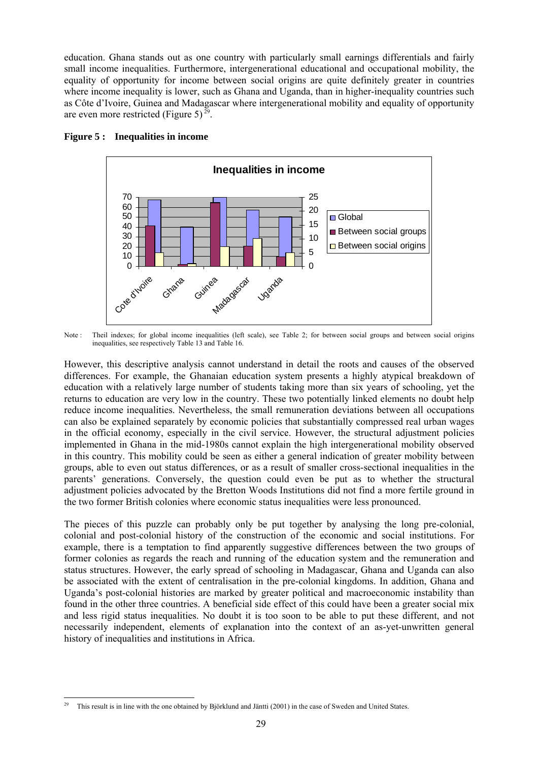education. Ghana stands out as one country with particularly small earnings differentials and fairly small income inequalities. Furthermore, intergenerational educational and occupational mobility, the equality of opportunity for income between social origins are quite definitely greater in countries where income inequality is lower, such as Ghana and Uganda, than in higher-inequality countries such as Côte d'Ivoire, Guinea and Madagascar where intergenerational mobility and equality of opportunity are even more restricted (Figure 5)<sup>29</sup>.





Note : Theil indexes; for global income inequalities (left scale), see Table 2; for between social groups and between social origins inequalities, see respectively Table 13 and Table 16.

However, this descriptive analysis cannot understand in detail the roots and causes of the observed differences. For example, the Ghanaian education system presents a highly atypical breakdown of education with a relatively large number of students taking more than six years of schooling, yet the returns to education are very low in the country. These two potentially linked elements no doubt help reduce income inequalities. Nevertheless, the small remuneration deviations between all occupations can also be explained separately by economic policies that substantially compressed real urban wages in the official economy, especially in the civil service. However, the structural adjustment policies implemented in Ghana in the mid-1980s cannot explain the high intergenerational mobility observed in this country. This mobility could be seen as either a general indication of greater mobility between groups, able to even out status differences, or as a result of smaller cross-sectional inequalities in the parents' generations. Conversely, the question could even be put as to whether the structural adjustment policies advocated by the Bretton Woods Institutions did not find a more fertile ground in the two former British colonies where economic status inequalities were less pronounced.

The pieces of this puzzle can probably only be put together by analysing the long pre-colonial, colonial and post-colonial history of the construction of the economic and social institutions. For example, there is a temptation to find apparently suggestive differences between the two groups of former colonies as regards the reach and running of the education system and the remuneration and status structures. However, the early spread of schooling in Madagascar, Ghana and Uganda can also be associated with the extent of centralisation in the pre-colonial kingdoms. In addition, Ghana and Uganda's post-colonial histories are marked by greater political and macroeconomic instability than found in the other three countries. A beneficial side effect of this could have been a greater social mix and less rigid status inequalities. No doubt it is too soon to be able to put these different, and not necessarily independent, elements of explanation into the context of an as-yet-unwritten general history of inequalities and institutions in Africa.

 $\overline{a}$ 29 This result is in line with the one obtained by Björklund and Jäntti (2001) in the case of Sweden and United States.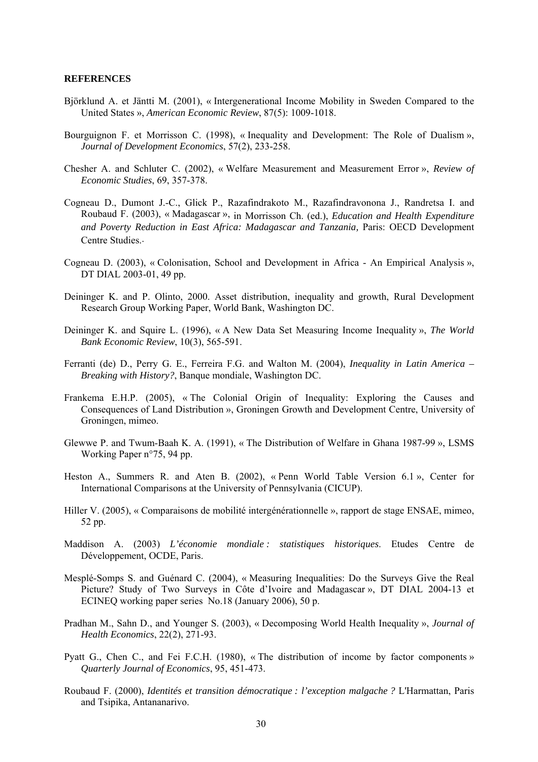#### **REFERENCES**

- Björklund A. et Jäntti M. (2001), « Intergenerational Income Mobility in Sweden Compared to the United States », *American Economic Review*, 87(5): 1009-1018.
- Bourguignon F. et Morrisson C. (1998), « Inequality and Development: The Role of Dualism », *Journal of Development Economics*, 57(2), 233-258.
- Chesher A. and Schluter C. (2002), « Welfare Measurement and Measurement Error », *Review of Economic Studies*, 69, 357-378.
- Cogneau D., Dumont J.-C., Glick P., Razafindrakoto M., Razafindravonona J., Randretsa I. and Roubaud F. (2003), « Madagascar », in Morrisson Ch. (ed.), *Education and Health Expenditure and Poverty Reduction in East Africa: Madagascar and Tanzania,* Paris: OECD Development Centre Studies..
- Cogneau D. (2003), « Colonisation, School and Development in Africa An Empirical Analysis », DT DIAL 2003-01, 49 pp.
- Deininger K. and P. Olinto, 2000. Asset distribution, inequality and growth, Rural Development Research Group Working Paper, World Bank, Washington DC.
- Deininger K. and Squire L. (1996), « A New Data Set Measuring Income Inequality », *The World Bank Economic Review*, 10(3), 565-591.
- Ferranti (de) D., Perry G. E., Ferreira F.G. and Walton M. (2004), *Inequality in Latin America Breaking with History?*, Banque mondiale, Washington DC.
- Frankema E.H.P. (2005), « The Colonial Origin of Inequality: Exploring the Causes and Consequences of Land Distribution », Groningen Growth and Development Centre, University of Groningen, mimeo.
- Glewwe P. and Twum-Baah K. A. (1991), « The Distribution of Welfare in Ghana 1987-99 », LSMS Working Paper n°75, 94 pp.
- Heston A., Summers R. and Aten B. (2002), « Penn World Table Version 6.1 », Center for International Comparisons at the University of Pennsylvania (CICUP).
- Hiller V. (2005), « Comparaisons de mobilité intergénérationnelle », rapport de stage ENSAE, mimeo, 52 pp.
- Maddison A. (2003) *L'économie mondiale : statistiques historiques*. Etudes Centre de Développement, OCDE, Paris.
- Mesplé-Somps S. and Guénard C. (2004), « Measuring Inequalities: Do the Surveys Give the Real Picture? Study of Two Surveys in Côte d'Ivoire and Madagascar », DT DIAL 2004-13 et ECINEQ working paper series No.18 (January 2006), 50 p.
- Pradhan M., Sahn D., and Younger S. (2003), « Decomposing World Health Inequality », *Journal of Health Economics*, 22(2), 271-93.
- Pyatt G., Chen C., and Fei F.C.H. (1980), « The distribution of income by factor components » *Quarterly Journal of Economics*, 95, 451-473.
- Roubaud F. (2000), *Identités et transition démocratique : l'exception malgache ?* L'Harmattan, Paris and Tsipika, Antananarivo.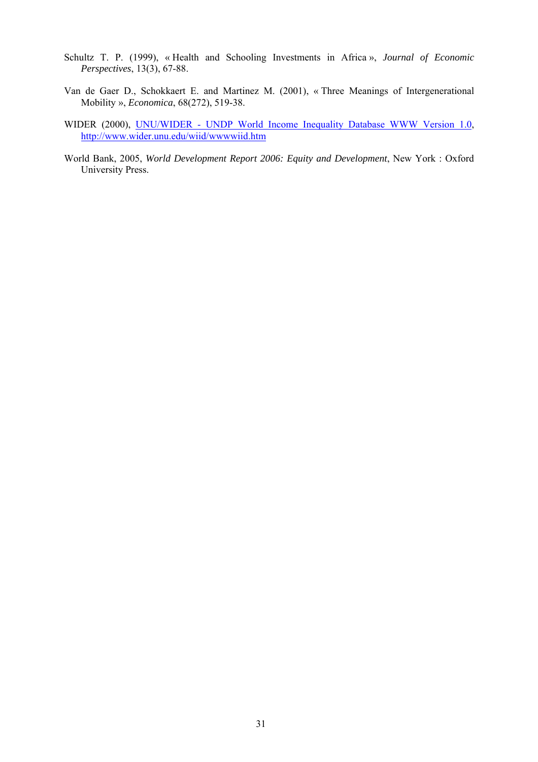- Schultz T. P. (1999), « Health and Schooling Investments in Africa », *Journal of Economic Perspectives*, 13(3), 67-88.
- Van de Gaer D., Schokkaert E. and Martinez M. (2001), « Three Meanings of Intergenerational Mobility », *Economica*, 68(272), 519-38.
- WIDER (2000), UNU/WIDER UNDP World Income Inequality Database WWW Version 1.0, http://www.wider.unu.edu/wiid/wwwwiid.htm
- World Bank, 2005, *World Development Report 2006: Equity and Development*, New York : Oxford University Press.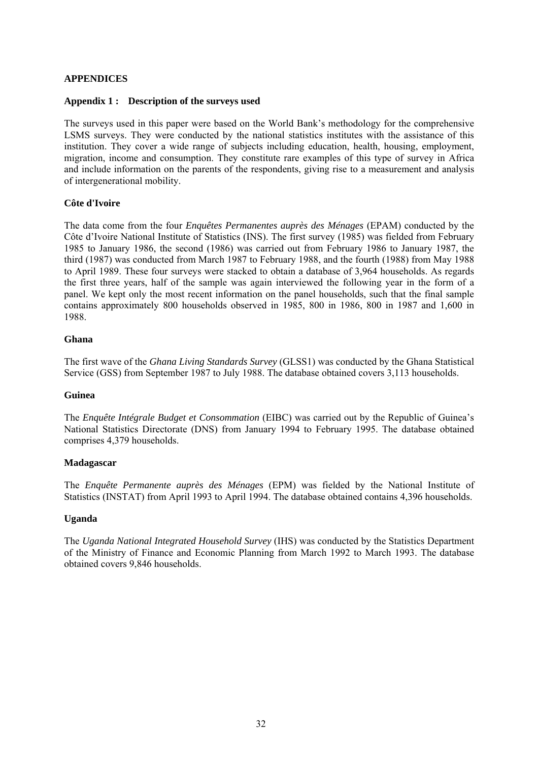#### **APPENDICES**

#### **Appendix 1 : Description of the surveys used**

The surveys used in this paper were based on the World Bank's methodology for the comprehensive LSMS surveys. They were conducted by the national statistics institutes with the assistance of this institution. They cover a wide range of subjects including education, health, housing, employment, migration, income and consumption. They constitute rare examples of this type of survey in Africa and include information on the parents of the respondents, giving rise to a measurement and analysis of intergenerational mobility.

#### **Côte d'Ivoire**

The data come from the four *Enquêtes Permanentes auprès des Ménages* (EPAM) conducted by the Côte d'Ivoire National Institute of Statistics (INS). The first survey (1985) was fielded from February 1985 to January 1986, the second (1986) was carried out from February 1986 to January 1987, the third (1987) was conducted from March 1987 to February 1988, and the fourth (1988) from May 1988 to April 1989. These four surveys were stacked to obtain a database of 3,964 households. As regards the first three years, half of the sample was again interviewed the following year in the form of a panel. We kept only the most recent information on the panel households, such that the final sample contains approximately 800 households observed in 1985, 800 in 1986, 800 in 1987 and 1,600 in 1988.

#### **Ghana**

The first wave of the *Ghana Living Standards Survey* (GLSS1) was conducted by the Ghana Statistical Service (GSS) from September 1987 to July 1988. The database obtained covers 3,113 households.

#### **Guinea**

The *Enquête Intégrale Budget et Consommation* (EIBC) was carried out by the Republic of Guinea's National Statistics Directorate (DNS) from January 1994 to February 1995. The database obtained comprises 4,379 households.

#### **Madagascar**

The *Enquête Permanente auprès des Ménages* (EPM) was fielded by the National Institute of Statistics (INSTAT) from April 1993 to April 1994. The database obtained contains 4,396 households.

#### **Uganda**

The *Uganda National Integrated Household Survey* (IHS) was conducted by the Statistics Department of the Ministry of Finance and Economic Planning from March 1992 to March 1993. The database obtained covers 9,846 households.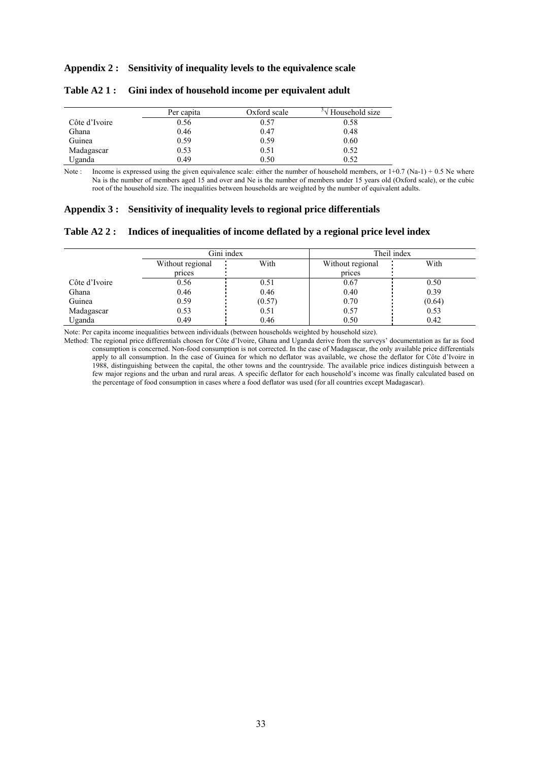#### **Appendix 2 : Sensitivity of inequality levels to the equivalence scale**

|               | Per capita | Oxford scale | Household size |
|---------------|------------|--------------|----------------|
| Côte d'Ivoire | 0.56       | 0.57         | 0.58           |
| Ghana         | 0.46       | 0.47         | 0.48           |
| Guinea        | 0.59       | 0.59         | 0.60           |
| Madagascar    | 0.53       | 0.51         | 0.52           |
| Uganda        | 0.49       | 0.50         | 0.52           |

#### **Table A2 1 : Gini index of household income per equivalent adult**

Note : Income is expressed using the given equivalence scale: either the number of household members, or  $1+0.7$  (Na-1) + 0.5 Ne where Na is the number of members aged 15 and over and Ne is the number of members under 15 years old (Oxford scale), or the cubic root of the household size. The inequalities between households are weighted by the number of equivalent adults.

#### **Appendix 3 : Sensitivity of inequality levels to regional price differentials**

#### **Table A2 2 : Indices of inequalities of income deflated by a regional price level index**

|               | Gini index               |        | Theil index      |        |  |
|---------------|--------------------------|--------|------------------|--------|--|
|               | With<br>Without regional |        | Without regional | With   |  |
|               | prices                   |        | prices           |        |  |
| Côte d'Ivoire | 0.56                     | 0.51   | 0.67             | 0.50   |  |
| Ghana         | 0.46                     | 0.46   | 0.40             | 0.39   |  |
| Guinea        | 0.59                     | (0.57) | 0.70             | (0.64) |  |
| Madagascar    | 0.53                     | 0.51   | 0.57             | 0.53   |  |
| Uganda        | 0.49                     | 0.46   | 0.50             | 0.42   |  |

Note: Per capita income inequalities between individuals (between households weighted by household size).

Method: The regional price differentials chosen for Côte d'Ivoire, Ghana and Uganda derive from the surveys' documentation as far as food consumption is concerned. Non-food consumption is not corrected. In the case of Madagascar, the only available price differentials apply to all consumption. In the case of Guinea for which no deflator was available, we chose the deflator for Côte d'Ivoire in 1988, distinguishing between the capital, the other towns and the countryside. The available price indices distinguish between a few major regions and the urban and rural areas. A specific deflator for each household's income was finally calculated based on the percentage of food consumption in cases where a food deflator was used (for all countries except Madagascar).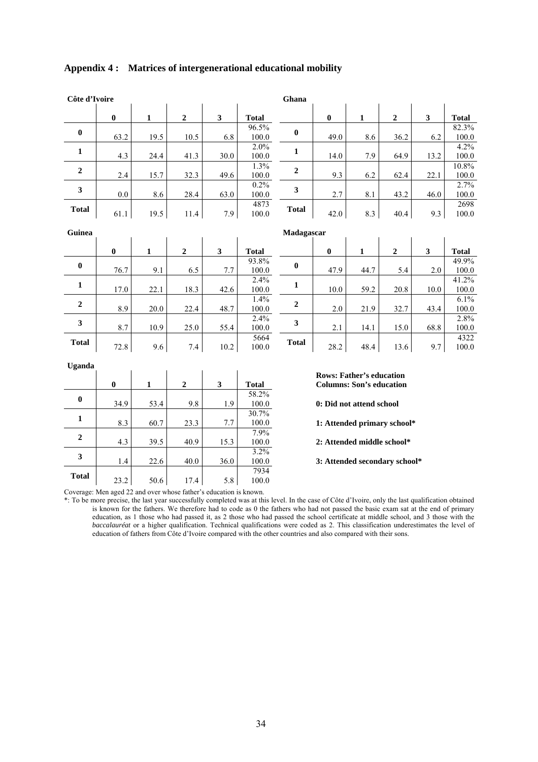| Côte d'Ivoire    |          |              |                  |                         |                    | Ghana            |                                                                    |              |                               |      |                   |
|------------------|----------|--------------|------------------|-------------------------|--------------------|------------------|--------------------------------------------------------------------|--------------|-------------------------------|------|-------------------|
|                  | $\bf{0}$ | $\mathbf{1}$ | $\boldsymbol{2}$ | $\overline{\mathbf{3}}$ | <b>Total</b>       |                  | $\bf{0}$                                                           | $\mathbf{1}$ | $\boldsymbol{2}$              | 3    | <b>Total</b>      |
| $\bf{0}$         | 63.2     | 19.5         | 10.5             | 6.8                     | 96.5%<br>100.0     | $\boldsymbol{0}$ | 49.0                                                               | 8.6          | 36.2                          | 6.2  | 82.3%<br>100.0    |
| $\mathbf{1}$     | 4.3      | 24.4         | 41.3             | 30.0                    | 2.0%<br>100.0      | $\mathbf{1}$     | 14.0                                                               | 7.9          | 64.9                          | 13.2 | 4.2%<br>100.0     |
| 2                | 2.4      | 15.7         | 32.3             | 49.6                    | 1.3%<br>100.0      | $\overline{2}$   | 9.3                                                                | 6.2          | 62.4                          | 22.1 | 10.8%<br>100.0    |
| $\mathbf{3}$     | $0.0\,$  | 8.6          | 28.4             | 63.0                    | 0.2%<br>100.0      | $\mathbf{3}$     | 2.7                                                                | 8.1          | 43.2                          | 46.0 | 2.7%<br>100.0     |
| <b>Total</b>     | 61.1     | 19.5         | 11.4             | 7.9                     | 4873<br>100.0      | <b>Total</b>     | 42.0                                                               | 8.3          | 40.4                          | 9.3  | 2698<br>100.0     |
| Guinea           |          |              |                  |                         |                    | Madagascar       |                                                                    |              |                               |      |                   |
|                  | $\bf{0}$ | $\mathbf{1}$ | $\overline{2}$   | $\overline{\mathbf{3}}$ | <b>Total</b>       |                  | $\bf{0}$                                                           | 1            | $\overline{2}$                | 3    | <b>Total</b>      |
| $\bf{0}$         | 76.7     | 9.1          | 6.5              | 7.7                     | 93.8%<br>100.0     | $\bf{0}$         | 47.9                                                               | 44.7         | 5.4                           | 2.0  | 49.9%<br>100.0    |
| 1                | 17.0     | 22.1         | 18.3             | 42.6                    | 2.4%<br>100.0      | $\mathbf{1}$     | 10.0                                                               | 59.2         | 20.8                          | 10.0 | 41.2%<br>100.0    |
| $\boldsymbol{2}$ | 8.9      | 20.0         | 22.4             | 48.7                    | 1.4%<br>$100.0\,$  | $\mathbf 2$      | 2.0                                                                | 21.9         | 32.7                          | 43.4 | 6.1%<br>$100.0\,$ |
| 3                | 8.7      | 10.9         | 25.0             | 55.4                    | 2.4%<br>100.0      | 3                | 2.1                                                                | 14.1         | 15.0                          | 68.8 | 2.8%<br>100.0     |
| <b>Total</b>     | 72.8     | 9.6          | 7.4              | 10.2                    | 5664<br>100.0      | <b>Total</b>     | 28.2                                                               | 48.4         | 13.6                          | 9.7  | 4322<br>100.0     |
| Uganda           |          |              |                  |                         |                    |                  |                                                                    |              |                               |      |                   |
|                  | $\bf{0}$ | $\mathbf{1}$ | $\mathbf{2}$     | $\mathbf{3}$            | <b>Total</b>       |                  | <b>Rows: Father's education</b><br><b>Columns: Son's education</b> |              |                               |      |                   |
| $\boldsymbol{0}$ | 34.9     | 53.4         | 9.8              | 1.9                     | 58.2%<br>100.0     |                  | 0: Did not attend school                                           |              |                               |      |                   |
| $\mathbf{1}$     | 8.3      | 60.7         | 23.3             | 7.7                     | 30.7%<br>$100.0\,$ |                  |                                                                    |              | 1: Attended primary school*   |      |                   |
| $\overline{2}$   | 4.3      | 39.5         | 40.9             | 15.3                    | 7.9%<br>100.0      |                  | 2: Attended middle school*                                         |              |                               |      |                   |
| 3                | 1.4      | 22.6         | 40.0             | 36.0                    | 3.2%<br>100.0      |                  |                                                                    |              | 3: Attended secondary school* |      |                   |
| <b>Total</b>     | 23.2     | 50.6         | 17.4             | 5.8                     | 7934<br>100.0      |                  |                                                                    |              |                               |      |                   |

#### **Appendix 4 : Matrices of intergenerational educational mobility**

Coverage: Men aged 22 and over whose father's education is known.

\*: To be more precise, the last year successfully completed was at this level. In the case of Côte d'Ivoire, only the last qualification obtained is known for the fathers. We therefore had to code as 0 the fathers who had not passed the basic exam sat at the end of primary education, as 1 those who had passed it, as 2 those who had passed the school certificate at middle school, and 3 those with the *baccalauréat* or a higher qualification. Technical qualifications were coded as 2. This classification underestimates the level of education of fathers from Côte d'Ivoire compared with the other countries and also compared with their sons.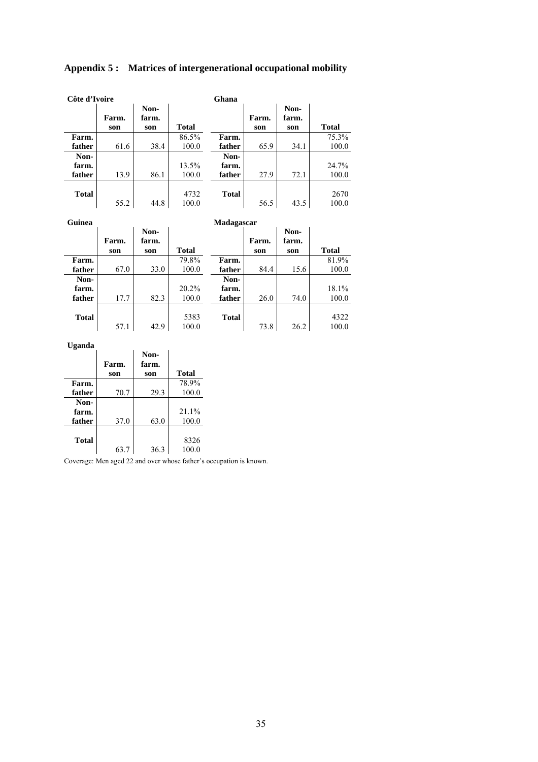| Côte d'Ivoire |              |                      |               | Ghana        |              |                      |               |
|---------------|--------------|----------------------|---------------|--------------|--------------|----------------------|---------------|
|               | Farm.<br>son | Non-<br>farm.<br>son | <b>Total</b>  |              | Farm.<br>son | Non-<br>farm.<br>son | <b>Total</b>  |
| Farm.         |              |                      | 86.5%         | Farm.        |              |                      | 75.3%         |
| father        | 61.6         | 38.4                 | 100.0         | father       | 65.9         | 34.1                 | 100.0         |
| Non-          |              |                      |               | Non-         |              |                      |               |
| farm.         |              |                      | 13.5%         | farm.        |              |                      | 24.7%         |
| father        | 13.9         | 86.1                 | 100.0         | father       | 27.9         | 72.1                 | 100.0         |
| <b>Total</b>  | 55.2         | 44.8                 | 4732<br>100.0 | <b>Total</b> | 56.5         | 43.5                 | 2670<br>100.0 |

### **Appendix 5 : Matrices of intergenerational occupational mobility**

| Guinea       |              | Madagascar           |              |              |              |                      |              |  |  |
|--------------|--------------|----------------------|--------------|--------------|--------------|----------------------|--------------|--|--|
|              | Farm.<br>son | Non-<br>farm.<br>son | <b>Total</b> |              | Farm.<br>son | Non-<br>farm.<br>son | <b>Total</b> |  |  |
| Farm.        |              |                      | 79.8%        | Farm.        |              |                      | 81.9%        |  |  |
| father       | 67.0         | 33.0                 | 100.0        | father       | 84.4         | 15.6                 | 100.0        |  |  |
| Non-         |              |                      |              | Non-         |              |                      |              |  |  |
| farm.        |              |                      | 20.2%        | farm.        |              |                      | 18.1%        |  |  |
| father       | 17.7         | 82.3                 | 100.0        | father       | 26.0         | 74.0                 | 100.0        |  |  |
| <b>Total</b> |              |                      | 5383         | <b>Total</b> |              |                      | 4322         |  |  |
|              | 57.1         | 42.9                 | 100.0        |              | 73.8         | 26.2                 | 100.0        |  |  |

#### **Uganda**

|              | Farm. | Non-<br>farm. |              |
|--------------|-------|---------------|--------------|
|              | son   | son           | <b>Total</b> |
| Farm.        |       |               | 78.9%        |
| father       | 70.7  | 29.3          | 100.0        |
| Non-         |       |               |              |
| farm.        |       |               | 21.1%        |
| father       | 37.0  | 63.0          | 100.0        |
|              |       |               |              |
| <b>Total</b> |       |               | 8326         |
|              | 63.7  | 36.3          | 100.0        |

Coverage: Men aged 22 and over whose father's occupation is known.